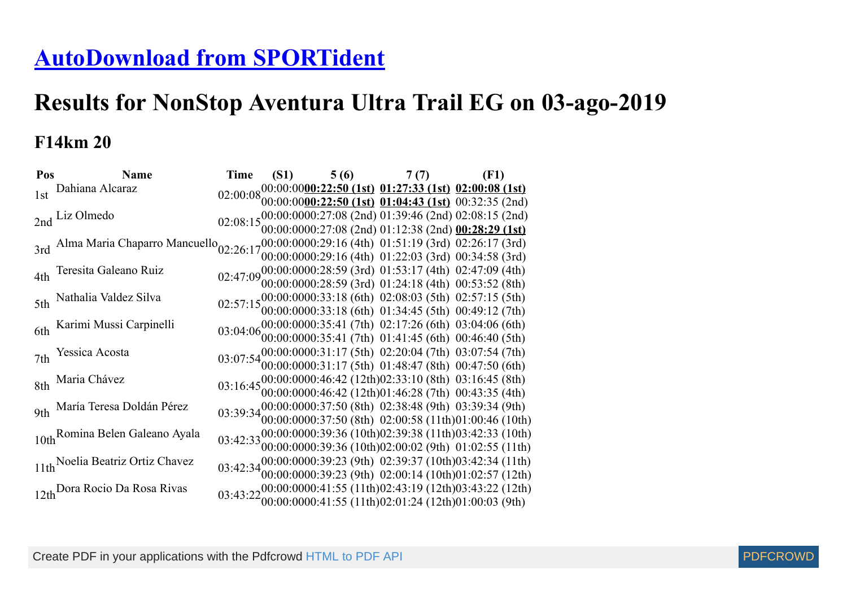# **[AutoDownload from SPORTident](http://www.sportident.co.uk/)**

# **Results for NonStop Aventura Ultra Trail EG on 03-ago-2019**

#### **F14km 20**

| Pos | <b>Name</b>                                                                                                |  | Time (S1) $5(6)$ 7(7) (F1)                                                                                                         |  |  |
|-----|------------------------------------------------------------------------------------------------------------|--|------------------------------------------------------------------------------------------------------------------------------------|--|--|
|     | 1st Dahiana Alcaraz                                                                                        |  | $02:00:08\begin{array}{l} 00:00:00000:22:50 \text{ (1st)} \text{ (1:27:33 (1st)} \text{ (1:00:08 (1st)} \end{array}$               |  |  |
|     |                                                                                                            |  |                                                                                                                                    |  |  |
|     | 2nd Liz Olmedo                                                                                             |  | 02:08:15 $00:00:0000:27:08$ (2nd) 01:39:46 (2nd) 02:08:15 (2nd)<br>02:08:15 $00:00:0000:27:08$ (2nd) 01:12:38 (2nd) 00:28:29 (1st) |  |  |
|     |                                                                                                            |  |                                                                                                                                    |  |  |
|     | 3rd Alma Maria Chaparro Mancuello <sub>02:26:17</sub> 00:00:0000:29:16 (4th) 01:51:19 (3rd) 02:26:17 (3rd) |  |                                                                                                                                    |  |  |
|     |                                                                                                            |  | 00:00:0000:29:16 (4th) 01:22:03 (3rd) 00:34:58 (3rd)                                                                               |  |  |
|     | 4th Teresita Galeano Ruiz                                                                                  |  | 02:47:09 00:00:0000:28:59 (3rd) 01:53:17 (4th) 02:47:09 (4th) 02:47:09 00:00:0000:28:59 (3rd) 01:24:18 (4th) 00:53:52 (8th)        |  |  |
|     |                                                                                                            |  |                                                                                                                                    |  |  |
|     | 5th Nathalia Valdez Silva                                                                                  |  | 02:57:15 00:00:0000:33:18 (6th) 02:08:03 (5th) 02:57:15 (5th) 02:57:15 00:00:0000:33:18 (6th) 01:34:45 (5th) 00:49:12 (7th)        |  |  |
|     |                                                                                                            |  |                                                                                                                                    |  |  |
|     | 6th Karimi Mussi Carpinelli                                                                                |  | 03:04:06 00:00:0000:35:41 (7th) 02:17:26 (6th) 03:04:06 (6th)<br>03:04:06 00:00:0000:35:41 (7th) 01:41:45 (6th) 00:46:40 (5th)     |  |  |
|     |                                                                                                            |  |                                                                                                                                    |  |  |
|     | 7th Yessica Acosta                                                                                         |  | 03:07:54 00:00:0000:31:17 (5th) 02:20:04 (7th) 03:07:54 (7th) 03:07:54 00:00:0000:31:17 (5th) 01:48:47 (8th) 00:47:50 (6th)        |  |  |
|     |                                                                                                            |  |                                                                                                                                    |  |  |
|     | 8th Maria Chávez                                                                                           |  | 03:16:45 00:00:0000:46:42 (12th)02:33:10 (8th) 03:16:45 (8th)<br>03:16:45 00:00:0000:46:42 (12th)01:46:28 (7th) 00:43:35 (4th)     |  |  |
|     |                                                                                                            |  |                                                                                                                                    |  |  |
|     | 9th María Teresa Doldán Pérez                                                                              |  | 03:39:34 00:00:0000:37:50 (8th) 02:38:48 (9th) 03:39:34 (9th)<br>03:39:34 00:00:0000:37:50 (8th) 02:00:58 (11th)01:00:46 (10th)    |  |  |
|     |                                                                                                            |  |                                                                                                                                    |  |  |
|     | 10th Romina Belen Galeano Ayala                                                                            |  | 03:42:33 00:00:0000:39:36 (10th)02:39:38 (11th)03:42:33 (10th)<br>03:42:33 00:00:0000:39:36 (10th)02:00:02 (9th) 01:02:55 (11th)   |  |  |
|     |                                                                                                            |  | 03:42:34 00:00:00:00:00:39:23 (9th) 02:39:37 (10th)03:42:34 (11th)                                                                 |  |  |
|     | 11th Noelia Beatriz Ortiz Chavez                                                                           |  | $00:00:0000:39:23$ (9th) $02:00:14$ (10th)01:02:57 (12th)                                                                          |  |  |
|     |                                                                                                            |  |                                                                                                                                    |  |  |
|     | 12th Dora Rocio Da Rosa Rivas                                                                              |  | 03:43:22 00:00:0000:41:55 (11th)02:43:19 (12th)03:43:22 (12th)<br>03:43:22 00:00:0000:41:55 (11th)02:01:24 (12th)01:00:03 (9th)    |  |  |
|     |                                                                                                            |  |                                                                                                                                    |  |  |

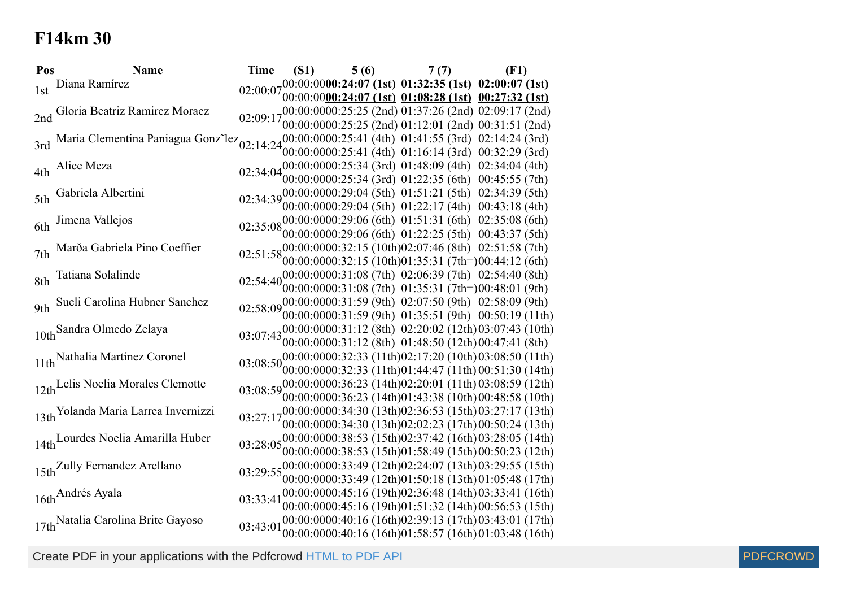### **F14km 30**

| Pos | <b>Name</b>                                                             | <b>Time</b> | (S1) | 5(6)                                                                                                                         | 7(7) | (F1) |  |
|-----|-------------------------------------------------------------------------|-------------|------|------------------------------------------------------------------------------------------------------------------------------|------|------|--|
| 1st | Diana Ramírez                                                           |             |      | $02:00:07\substack{00:0000000024:07 \ (1st)}$ $01:32:35\left(1st\right)$ $02:00:07\left(1st\right)$                          |      |      |  |
|     |                                                                         |             |      | 00:00:0000:24:07 (1st) 01:08:28 (1st) 00:27:32 (1st)                                                                         |      |      |  |
|     | 2nd Gloria Beatriz Ramirez Moraez                                       |             |      | 02:09:17 <sub>00:00</sub> 00:00:025:25 (2nd) 01:37:26 (2nd) 02:09:17 (2nd)                                                   |      |      |  |
|     |                                                                         |             |      | 00:00:0000:25:25 (2nd) 01:12:01 (2nd) 00:31:51 (2nd)<br>$(00:00:0000:25:41(4th) 01:41:55(3rd) 02:14:24(3rd))$                |      |      |  |
|     | 3rd Maria Clementina Paniagua Gonz <sup>-</sup> lez <sub>02:14:24</sub> |             |      | $00:00:0000:25:41$ (4th) $01:16:14$ (3rd) $00:32:29$ (3rd)                                                                   |      |      |  |
|     |                                                                         |             |      | 02:34:04 00:00:0000:25:34 (3rd) 01:48:09 (4th) 02:34:04 (4th)                                                                |      |      |  |
|     | 4th Alice Meza                                                          |             |      | 00:00:0000:25:34 (3rd) 01:22:35 (6th) 00:45:55 (7th)                                                                         |      |      |  |
|     | 5th Gabriela Albertini                                                  |             |      | 02:34:39 00:00:0000:29:04 (5th) 01:51:21 (5th) 02:34:39 (5th)                                                                |      |      |  |
|     |                                                                         |             |      | 00:00:0000:29:04 (5th) 01:22:17 (4th) 00:43:18 (4th)                                                                         |      |      |  |
|     | 6th Jimena Vallejos                                                     |             |      | 02:35:08 00:00:0000:29:06 (6th) 01:51:31 (6th) 02:35:08 (6th)                                                                |      |      |  |
|     |                                                                         |             |      | 00:00:0000:29:06 (6th) 01:22:25 (5th) 00:43:37 (5th)                                                                         |      |      |  |
|     | 7th Marða Gabriela Pino Coeffier                                        |             |      | 02:51:5800:00:0000:32:15 (10th)02:07:46 (8th) 02:51:58 (7th)                                                                 |      |      |  |
|     |                                                                         |             |      | $00:00:0000:32:15(10th)01:35:31(7th=)00:44:12(6th)$                                                                          |      |      |  |
|     | 8th Tatiana Solalinde                                                   |             |      | 02:54:40 00:00:0000:31:08 (7th) 02:06:39 (7th) 02:54:40 (8th)                                                                |      |      |  |
|     |                                                                         |             |      | $00:00:0000:31:08$ (7th) $01:35:31$ (7th=)00:48:01 (9th)                                                                     |      |      |  |
|     | 9th Sueli Carolina Hubner Sanchez                                       |             |      | 02:58:09 00:00:0000:31:59 (9th) 02:07:50 (9th) 02:58:09 (9th)<br>$00:00:0000:31:59$ (9th) $01:35:51$ (9th) $00:50:19$ (11th) |      |      |  |
|     |                                                                         |             |      | 03:07:43 00:00:0000:31:12 (8th) 02:20:02 (12th) 03:07:43 (10th)                                                              |      |      |  |
|     | 10th Sandra Olmedo Zelaya                                               |             |      | $00:00:0000:31:12$ (8th) $01:48:50$ (12th) 00:47:41 (8th)                                                                    |      |      |  |
|     | 11th Nathalia Martínez Coronel                                          |             |      | 03:08:50 00:00:0000:32:33 (11th) 02:17:20 (10th) 03:08:50 (11th)                                                             |      |      |  |
|     |                                                                         |             |      | $00:00:0000:32:33(11th)01:44:47(11th)00:51:30(14th)$                                                                         |      |      |  |
|     | 12th Lelis Noelia Morales Clemotte                                      |             |      | 03:08:59 00:00:0000:36:23 (14th) 02:20:01 (11th) 03:08:59 (12th)                                                             |      |      |  |
|     |                                                                         |             |      | 00:00:0000:36:23 (14th)01:43:38 (10th) 00:48:58 (10th)                                                                       |      |      |  |
|     | 13th Yolanda Maria Larrea Invernizzi                                    |             |      |                                                                                                                              |      |      |  |
|     |                                                                         |             |      | 00:00:0000:34:30 (13th)02:02:23 (17th) 00:50:24 (13th)                                                                       |      |      |  |
|     | 14th Lourdes Noelia Amarilla Huber                                      |             |      | $03:28:05\substack{00:00000000038:53(15th)02:37:42(16th)03:28:05(14th)$                                                      |      |      |  |
|     |                                                                         |             |      | $00:00:0000:38:53(15th)01:58:49(15th)00:50:23(12th)$                                                                         |      |      |  |
|     | 15th <sup>Zully</sup> Fernandez Arellano                                |             |      |                                                                                                                              |      |      |  |
|     |                                                                         |             |      | $00:00:0000:33:49(12th)01:50:18(13th)01:05:48(17th)$<br>00:00:0000:45:16 (19th)02:36:48 (14th)03:33:41 (16th)                |      |      |  |
|     | 16th Andrés Ayala                                                       | 03:33:41    |      | 00:00:0000:45:16 (19th)01:51:32 (14th) 00:56:53 (15th)                                                                       |      |      |  |
|     | 17th Natalia Carolina Brite Gayoso                                      |             |      | 00:00:0000:40:16 (16th)02:39:13 (17th)03:43:01 (17th)                                                                        |      |      |  |
|     |                                                                         | 03:43:01    |      | 00:00:0000:40:16 (16th)01:58:57 (16th)01:03:48 (16th)                                                                        |      |      |  |
|     |                                                                         |             |      |                                                                                                                              |      |      |  |

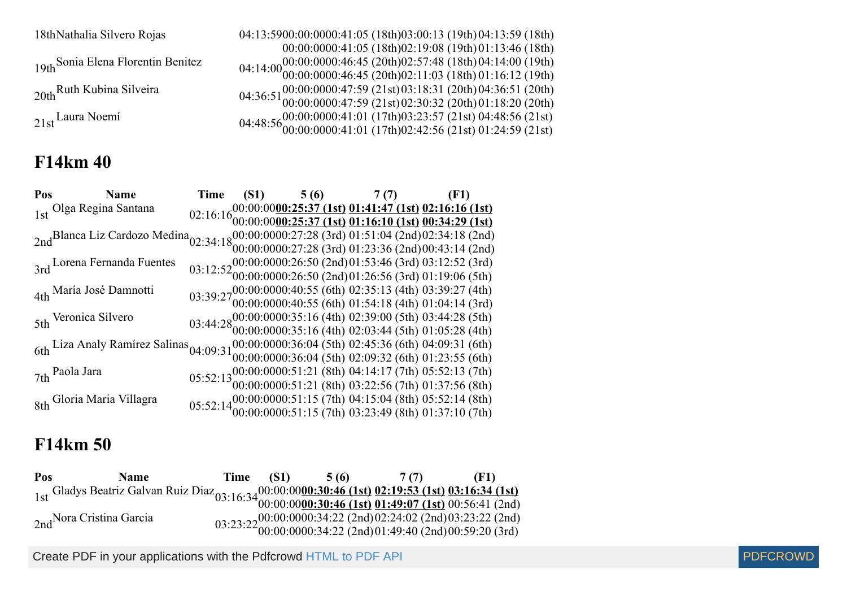18thNathalia Silvero Rojas 04:13:5900:00:00

19th Sonia Elena Florentin Benitez

20th Ruth Kubina Silveira

#### **F14km 40**

00:00:00 00:41:05 (18th) 02:19:08 (19th) 01:13:46 (18th) 00:41:05 (18th) 03:00:13 (19th) 04:13:59 (18th) 00:00:00 00:46:45 (20th) 00:46:45 (20th) 02:57:48 (18th) 02:11:03 (18th) 04:14:00 (19th) 01:16:12 (19th) 00:00:00 00:47:59 (21st) 00:47:59 (21st) 03:18:31 (20th) 02:30:32 (20th) 04:36:51 (20th) 01:18:20 (20th)  $21st$ <sup>Laura</sup> Noemí  $04:48:56^{00:00:000}_{00:00:000}$ 00:41:01 (17th) 00:41:01 (17th) 03:23:57 (21st) 02:42:56 (21st) 04:48:56 (21st) 01:24:59 (21st)

| Pos Name                                                                                                                                                          |  | Time (S1) $5(6)$ 7(7) (F1) |                                                                                                                                                                               |
|-------------------------------------------------------------------------------------------------------------------------------------------------------------------|--|----------------------------|-------------------------------------------------------------------------------------------------------------------------------------------------------------------------------|
| 1st Olga Regina Santana                                                                                                                                           |  |                            | $02:16:16\substack{00:00:00000:25:37 \ (1st) \ (01:41:47 \ (1st) \ (02:16:16 \ (1st) \ 00:00:0000:25:37 \ (1st) \ (01:16:10 \ (1st) \ (00:34:29 \ (1st) \ 00:34:29 \ (1st) \$ |
|                                                                                                                                                                   |  |                            |                                                                                                                                                                               |
| 2ndBlanca Liz Cardozo Medina <sub>02:34:18</sub> 00:00:0000:27:28 (3rd) 01:51:04 (2nd)02:34:18 (2nd)<br>00:00:00:00:0000:27:28 (3rd) 01:23:36 (2nd)00:43:14 (2nd) |  |                            |                                                                                                                                                                               |
|                                                                                                                                                                   |  |                            |                                                                                                                                                                               |
| 3rd Lorena Fernanda Fuentes                                                                                                                                       |  |                            | 03:12:52 00:00:0000:26:50 (2nd)01:53:46 (3rd) 03:12:52 (3rd)<br>03:12:52 00:00:0000:26:50 (2nd)01:26:56 (3rd) 01:19:06 (5th)                                                  |
|                                                                                                                                                                   |  |                            |                                                                                                                                                                               |
| 4th María José Damnotti                                                                                                                                           |  |                            | 03:39:27 00:00:0000:40:55 (6th) 02:35:13 (4th) 03:39:27 (4th) 03:39:27 00:00:0000:40:55 (6th) 01:54:18 (4th) 01:04:14 (3rd)                                                   |
|                                                                                                                                                                   |  |                            |                                                                                                                                                                               |
| 5th Veronica Silvero                                                                                                                                              |  |                            | 03:44:28 (5th) 03:44:28 (5th) 03:44:28 (5th) 03:44:28 (5th) 03:44:28 (6th) 03:44:28 (6th) 01:05:28 (4th)                                                                      |
|                                                                                                                                                                   |  |                            |                                                                                                                                                                               |
| 6th Liza Analy Ramírez Salinas 04:09:31 00:00:0000:36:04 (5th) 02:45:36 (6th) 04:09:31 (6th) 6th 04:09:31 (6th) 04:09:32 (6th) 01:23:55 (6th)                     |  |                            |                                                                                                                                                                               |
|                                                                                                                                                                   |  |                            |                                                                                                                                                                               |
| 7th Paola Jara                                                                                                                                                    |  |                            | 05:52:13 00:00:0000:51:21 (8th) 04:14:17 (7th) 05:52:13 (7th) 05:52:13 00:00:0000:51:21 (8th) 03:22:56 (7th) 01:37:56 (8th)                                                   |
|                                                                                                                                                                   |  |                            |                                                                                                                                                                               |
| 8th Gloria Maria Villagra                                                                                                                                         |  |                            | 05:52:14 00:00:0000:51:15 (7th) 04:15:04 (8th) 05:52:14 (8th)<br>05:52:14 00:00:0000:51:15 (7th) 03:23:49 (8th) 01:37:10 (7th)                                                |
|                                                                                                                                                                   |  |                            |                                                                                                                                                                               |

#### **F14km 50**

| Pos | <b>Name</b>                                                                                                                                                                                                                    | Time (S1) | 5(6) 7(7) | (F1)                                                                                                                           |
|-----|--------------------------------------------------------------------------------------------------------------------------------------------------------------------------------------------------------------------------------|-----------|-----------|--------------------------------------------------------------------------------------------------------------------------------|
|     | 1st Gladys Beatriz Galvan Ruiz Diaz <sub>03:16:34</sub> 00:00:0000:30:46 (1st) 02:19:53 (1st) 03:16:34 (1st) 1st) 1st Gladys Beatriz Galvan Ruiz Diaz <sub>03:16:34</sub> 00:00:0000:30:46 (1st) 01:49:07 (1st) 00:56:41 (2nd) |           |           |                                                                                                                                |
|     |                                                                                                                                                                                                                                |           |           |                                                                                                                                |
|     | 2nd <sup>Nora</sup> Cristina Garcia                                                                                                                                                                                            |           |           | 03:23:22 00:00:0000:34:22 (2nd) 02:24:02 (2nd) 03:23:22 (2nd)<br>03:23:22 00:00:0000:34:22 (2nd) 01:49:40 (2nd) 00:59:20 (3rd) |
|     |                                                                                                                                                                                                                                |           |           |                                                                                                                                |

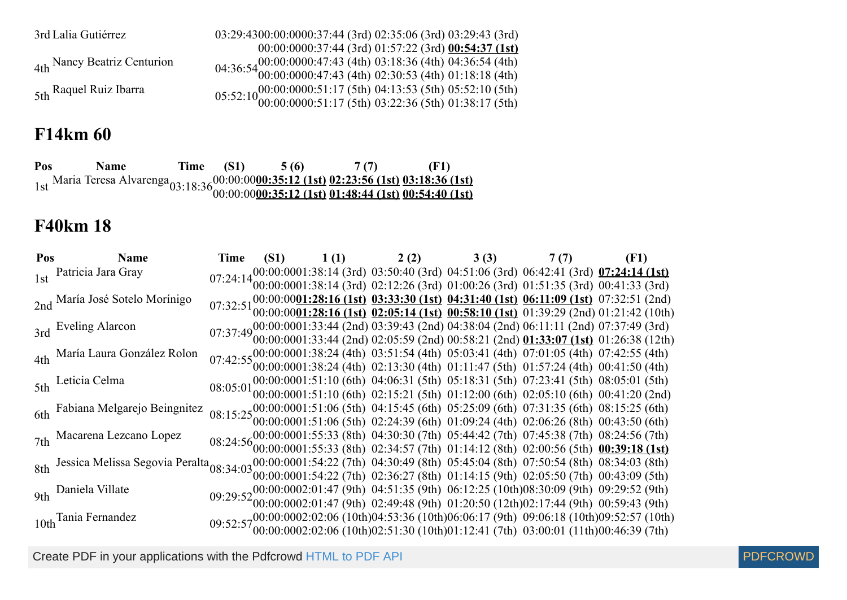| 3rd Lalia Gutiérrez         | 03:29:4300:00:0000:37:44 (3rd) 02:35:06 (3rd) 03:29:43 (3rd)                                                                  |
|-----------------------------|-------------------------------------------------------------------------------------------------------------------------------|
|                             | 00:00:0000:37:44 (3rd) 01:57:22 (3rd) 00:54:37 (1st)                                                                          |
| 4th Nancy Beatriz Centurion | 04:36:54 00:00:0000:47:43 (4th) 03:18:36 (4th) 04:36:54 (4th) 04:36:54 00:00:0000:47:43 (4th) 02:30:53 (4th) 01:18:18 (4th)   |
|                             |                                                                                                                               |
| 5th Raquel Ruiz Ibarra      | 05:52:10 (00:00:0000:51:17 (5th) 04:13:53 (5th) 05:52:10 (5th) 05:52:10 (00:00:0000:51:17 (5th) 03:22:36 (5th) 01:38:17 (5th) |
|                             |                                                                                                                               |

### **F14km 60**

**Pos Name Time (S1) 5 (6) 7 (7) (F1)** 1st Maria Teresa Alvarenga<sub>03:18:36</sub>00:00:00:00 **00:35:12 (1st) 00:35:12 (1st) 02:23:56 (1st) 01:48:44 (1st) 03:18:36 (1st) 00:54:40 (1st)**

#### **F40km 18**

| Pos Name                                                                                                                                                      |  |  | Time (S1) $1(1)$ $2(2)$ $3(3)$ $7(7)$ (F1)                                                                                                                                                                                         |                                                                                                                                                                                                                                                                                                       |
|---------------------------------------------------------------------------------------------------------------------------------------------------------------|--|--|------------------------------------------------------------------------------------------------------------------------------------------------------------------------------------------------------------------------------------|-------------------------------------------------------------------------------------------------------------------------------------------------------------------------------------------------------------------------------------------------------------------------------------------------------|
| 1st Patricia Jara Gray                                                                                                                                        |  |  |                                                                                                                                                                                                                                    | $07:24:1400:00:0001:38:14(3rd) 03:50:40(3rd) 04:51:06(3rd) 06:42:41(3rd) 07:24:14(1st)$<br>$07:24:1400:00:0001:38:14(3rd) 02:12:26(3rd) 01:00:26(3rd) 01:51:35(3rd) 00:41:33(3rd)$                                                                                                                    |
|                                                                                                                                                               |  |  |                                                                                                                                                                                                                                    |                                                                                                                                                                                                                                                                                                       |
| 2nd María José Sotelo Morínigo                                                                                                                                |  |  |                                                                                                                                                                                                                                    | $07:32:51\substack{00:00:00001:28:16 \text{ (1st)} } 03:33:30 \text{ (1st)} 04:31:40 \text{ (1st)} 06:11:09 \text{ (1st)} 07:32:51 \text{ (2nd)} 07:32:51 \text{ (2nd)} 08:00:00001:28:16 \text{ (1st)} 02:05:14 \text{ (1st)} 00:58:10 \text{ (1st)} 01:39:29 \text{ (2nd)} 01:21:42 \text{ (10th)}$ |
|                                                                                                                                                               |  |  |                                                                                                                                                                                                                                    |                                                                                                                                                                                                                                                                                                       |
| 3rd Eveling Alarcon                                                                                                                                           |  |  |                                                                                                                                                                                                                                    | $07:37:4900:00:0001:33:44 (2nd) 03:39:43 (2nd) 04:38:04 (2nd) 06:11:11 (2nd) 07:37:49 (3rd) 07:37:49 (3rd) 08:09:00:0001:33:44 (2nd) 02:05:59 (2nd) 00:58:21 (2nd) 01:33:07 (1st) 01:26:38 (12th)$                                                                                                    |
|                                                                                                                                                               |  |  |                                                                                                                                                                                                                                    |                                                                                                                                                                                                                                                                                                       |
| 4th María Laura González Rolon                                                                                                                                |  |  | $07:42:55\frac{00:00:0001:38:24}{00:00:0001:38:24}$ (4th) $03:51:54$ (4th) $05:03:41$ (4th) $07:01:05$ (4th) $07:42:55$ (4th) $01:42:55$ (4th) $00:00001:38:24$ (4th) $02:13:30$ (4th) $01:11:47$ (5th) $01:57:24$ (4th) $00:41:5$ |                                                                                                                                                                                                                                                                                                       |
|                                                                                                                                                               |  |  |                                                                                                                                                                                                                                    |                                                                                                                                                                                                                                                                                                       |
| 5th Leticia Celma                                                                                                                                             |  |  |                                                                                                                                                                                                                                    | 08:05:01 00:00:0001:51:10 (6th) 04:06:31 (5th) 05:18:31 (5th) 07:23:41 (5th) 08:05:01 (5th) 08:05:01 (5th) 09:00:0001:51:10 (6th) 02:15:21 (5th) 01:12:00 (6th) 02:05:10 (6th) 00:41:20 (2nd)                                                                                                         |
|                                                                                                                                                               |  |  |                                                                                                                                                                                                                                    |                                                                                                                                                                                                                                                                                                       |
| 6th Fabiana Melgarejo Beingnitez                                                                                                                              |  |  | $08:15:25_{00:00:0001}^{00:0001:51:06}$ (5th) 04:15:45 (6th) 05:25:09 (6th) 07:31:35 (6th) 08:15:25 (6th)                                                                                                                          |                                                                                                                                                                                                                                                                                                       |
|                                                                                                                                                               |  |  | $0.0000001:51:06$ (5th) 02:24:39 (6th) 01:09:24 (4th) 02:06:26 (8th) 00:43:50 (6th)                                                                                                                                                |                                                                                                                                                                                                                                                                                                       |
| 7th Macarena Lezcano Lopez                                                                                                                                    |  |  | 08:24:56 $00:00:0001:55:33$ (8th) 04:30:30 (7th) 05:44:42 (7th) 07:45:38 (7th) 08:24:56 (7th) 08:24:56 (7th) 08:24:57 (7th) 01:14:12 (8th) 02:00:56 (5th) 00:39:18 (1st)                                                           |                                                                                                                                                                                                                                                                                                       |
|                                                                                                                                                               |  |  |                                                                                                                                                                                                                                    |                                                                                                                                                                                                                                                                                                       |
| 8th Jessica Melissa Segovia Peralta 08:34:03 00:00:0001:54:22 (7th) 04:30:49 (8th) 05:45:04 (8th) 07:50:54 (8th) 08:34:03 (8th) 08:34:03 (8th) 08:34:03 (8th) |  |  |                                                                                                                                                                                                                                    |                                                                                                                                                                                                                                                                                                       |
|                                                                                                                                                               |  |  | $0.0000001:54:22$ (7th) 02:36:27 (8th) 01:14:15 (9th) 02:05:50 (7th) 00:43:09 (5th)                                                                                                                                                |                                                                                                                                                                                                                                                                                                       |
| 9th Daniela Villate                                                                                                                                           |  |  | 09:29:52 00:00:0002:01:47 (9th) 04:51:35 (9th) 06:12:25 (10th)08:30:09 (9th) 09:29:52 (9th) 09:29:52 (9th) 02:49:48 (9th) 01:20:50 (12th)02:17:44 (9th) 00:59:43 (9th)                                                             |                                                                                                                                                                                                                                                                                                       |
|                                                                                                                                                               |  |  |                                                                                                                                                                                                                                    |                                                                                                                                                                                                                                                                                                       |
| 10th Tania Fernandez                                                                                                                                          |  |  |                                                                                                                                                                                                                                    | $09:52:5700:00:0002:02:06(10th)04:53:36(10th)06:06:17(9th) 09:06:18(10th)09:52:57(10th)$<br>$09:52:5700:00:0002:02:06(10th)02:51:30(10th)01:12:41(7th) 03:00:01(11th)00:46:39(7th)$                                                                                                                   |
|                                                                                                                                                               |  |  |                                                                                                                                                                                                                                    |                                                                                                                                                                                                                                                                                                       |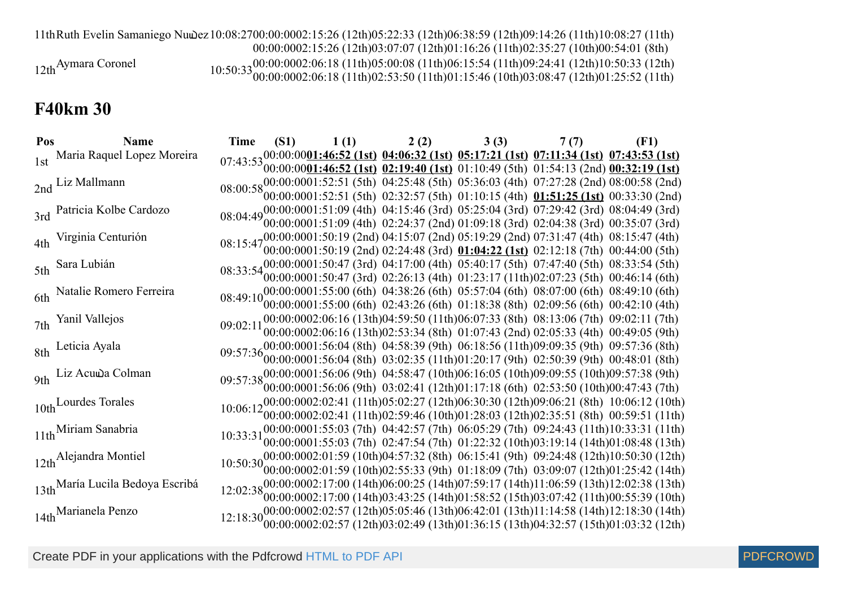11thRuth Evelin Samaniego Nuwez 10:08:2700:00:0002:15:26 (12th)05:22:33 (12th)06:38:59 (12th)09:14:26 (11th)10:08:27 (11th)

00:00:0002:15:26 (12th)03:07:07 (12th)01:16:26 (11th)02:35:27 (10th)00:54:01 (8th)

00:00:00 02:06:18 (11th) 02:06:18 (11th) 05:00:08 (11th) 02:53:50 (11th) 06:15:54 (11th) 01:15:46 (10th) 09:24:41 (12th) 03:08:47 (12th) 10:50:33 (12th) 01:25:52 (11th)

12th<sup>Aymara</sup> Coronel

### **F40km 30**

| Pos | <b>Name</b>                      | <b>Time</b> |  | (S1) $1(1)$ $2(2)$ | 3(3) | 7 (7)                                                                                                                                                                                                                                                                                                                | (F1)                                                                                                                                                                                                                                                                                    |
|-----|----------------------------------|-------------|--|--------------------|------|----------------------------------------------------------------------------------------------------------------------------------------------------------------------------------------------------------------------------------------------------------------------------------------------------------------------|-----------------------------------------------------------------------------------------------------------------------------------------------------------------------------------------------------------------------------------------------------------------------------------------|
|     | 1st Maria Raquel Lopez Moreira   |             |  |                    |      | $07:43:53\frac{00:00:0001:46:52 \text{ (1st) } 04:06:32 \text{ (1st) } 05:17:21 \text{ (1st) } 07:11:34 \text{ (1st) } 07:43:53 \text{ (1st) } 07:43:53 \text{ (1st) } 02:19:40 \text{ (1st) } 01:10:49 \text{ (5th) } 01:54:13 \text{ (2nd) } 00:32:19 \text{ (1st) } 01:54:13 \text{ (2nd) } 01:32:19 \text{ (1st$ |                                                                                                                                                                                                                                                                                         |
|     | 2nd Liz Mallmann                 |             |  |                    |      | 08:00:5800:00:0001:52:51 (5th) 04:25:48 (5th) 05:36:03 (4th) 07:27:28 (2nd) 08:00:58 (2nd) 08:00:0001:52:51 (5th) 02:32:57 (5th) 01:10:15 (4th) 01:51:25 (1st) 00:33:30 (2nd)                                                                                                                                        |                                                                                                                                                                                                                                                                                         |
|     | 3rd Patricia Kolbe Cardozo       |             |  |                    |      | 08:04:49 00:00:0001:51:09 (4th) 04:15:46 (3rd) 05:25:04 (3rd) 07:29:42 (3rd) 08:04:49 (3rd) 08:04:49 (3rd) 08:04:49 (3rd) 08:04:49 (3rd) 08:04:49 (3rd) 08:04:49 (3rd) 08:04:49 (3rd) 08:04:49 (3rd) 00:00001:51:09 (4th) 02:2                                                                                       |                                                                                                                                                                                                                                                                                         |
|     | 4th Virginia Centurión           |             |  |                    |      | 08:15:4700:00:0001:50:19 (2nd) 04:15:07 (2nd) 05:19:29 (2nd) 07:31:47 (4th) 08:15:47 (4th) 08:15:47 (4th) 08:15:47 (4th) 08:15:47 (60:00:0001:50:19 (2nd) 02:24:48 (3rd) 01:04:22 (1st) 02:12:18 (7th) 00:44:00 (5th)                                                                                                |                                                                                                                                                                                                                                                                                         |
|     | 5th Sara Lubián                  |             |  |                    |      | 08:33:54 00:00:0001:50:47 (3rd) 04:17:00 (4th) 05:40:17 (5th) 07:47:40 (5th) 08:33:54 (5th) 08:33:54 (5th) 08:33:54 (5th) 09:00:0001:50:47 (3rd) 02:26:13 (4th) 01:23:17 (11th)02:07:23 (5th) 00:46:14 (6th)                                                                                                         |                                                                                                                                                                                                                                                                                         |
|     | 6th Natalie Romero Ferreira      |             |  |                    |      | 08:49:1000:00:0001:55:00 (6th) 04:38:26 (6th) 05:57:04 (6th) 08:07:00 (6th) 08:49:10 (6th)                                                                                                                                                                                                                           |                                                                                                                                                                                                                                                                                         |
|     | 7th Yanil Vallejos               | 09:02:11    |  |                    |      | $00:00:0001:55:00$ (6th) 02:43:26 (6th) 01:18:38 (8th) 02:09:56 (6th) 00:42:10 (4th)<br>00:00:0002:06:16 (13th)04:59:50 (11th)06:07:33 (8th) 08:13:06 (7th) 09:02:11 (7th)                                                                                                                                           |                                                                                                                                                                                                                                                                                         |
|     | 8th Leticia Ayala                |             |  |                    |      | 00:00:0002:06:16 (13th)02:53:34 (8th) 01:07:43 (2nd) 02:05:33 (4th) 00:49:05 (9th)<br>09:57:36 00:00:0001:56:04 (8th) 04:58:39 (9th) 06:18:56 (11th)09:09:35 (9th) 09:57:36 (8th)                                                                                                                                    |                                                                                                                                                                                                                                                                                         |
|     | 9th Liz Acuwa Colman             |             |  |                    |      | $00:00:0001:56:04$ (8th) $03:02:35$ (11th) $01:20:17$ (9th) $02:50:39$ (9th) $00:48:01$ (8th)<br>09:57:38 00:00:0001:56:06 (9th) 04:58:47 (10th)06:16:05 (10th)09:09:55 (10th)09:57:38 (9th)<br>09:57:38 00:00:0001:56:06 (9th) 03:02:41 (12th)01:17:18 (6th) 02:53:50 (10th)00:47:43 (7th)                          |                                                                                                                                                                                                                                                                                         |
|     | 10th Lourdes Torales             |             |  |                    |      |                                                                                                                                                                                                                                                                                                                      | $10:06:12_{00:00:0002:02:41}^{00:00:0002:02:41}$ (11th)05:02:27 (12th)06:30:30 (12th)09:06:21 (8th) 10:06:12 (10th)                                                                                                                                                                     |
|     | 11th Miriam Sanabria             |             |  |                    |      |                                                                                                                                                                                                                                                                                                                      | 00:00:0002:02:41 (11th)02:59:46 (10th)01:28:03 (12th)02:35:51 (8th) 00:59:51 (11th)                                                                                                                                                                                                     |
|     |                                  | 10:33:31    |  |                    |      |                                                                                                                                                                                                                                                                                                                      | $\binom{00:00:0001:55:03(7th)}{00:000001:55:03(7th)}$ $\binom{04:42:57(7th)}{00:0000001:55:03(7th)}$ $\binom{04:42:57(7th)}{01:22:32(10th)}$ $\binom{09:24:43(11th)}{01:08:48(13th)}$<br>$10:50:30_{000000002}:01:59(10th)04:57:32(8th)$ $06:15:41(9th)$ $09:24:48(12th)10:50:30(12th)$ |
|     | 12th Alejandra Montiel           |             |  |                    |      |                                                                                                                                                                                                                                                                                                                      | 00:00:0002:01:59 (10th)02:55:33 (9th) 01:18:09 (7th) 03:09:07 (12th)01:25:42 (14th)                                                                                                                                                                                                     |
|     | 13th María Lucila Bedoya Escribá |             |  |                    |      |                                                                                                                                                                                                                                                                                                                      | 12:02:38 00:00:0002:17:00 (14th)06:00:25 (14th)07:59:17 (14th)11:06:59 (13th)12:02:38 (13th)<br>12:02:38 00:00:0002:17:00 (14th)03:43:25 (14th)01:58:52 (15th)03:07:42 (11th)00:55:39 (10th)                                                                                            |
|     | 14th Marianela Penzo             |             |  |                    |      |                                                                                                                                                                                                                                                                                                                      | 12:18:30 00:00:0002:02:57 (12th)05:05:46 (13th)06:42:01 (13th)11:14:58 (14th)12:18:30 (14th)<br>12:18:30 00:00:0002:02:57 (12th)03:02:49 (13th)01:36:15 (13th)04:32:57 (15th)01:03:32 (12th)                                                                                            |

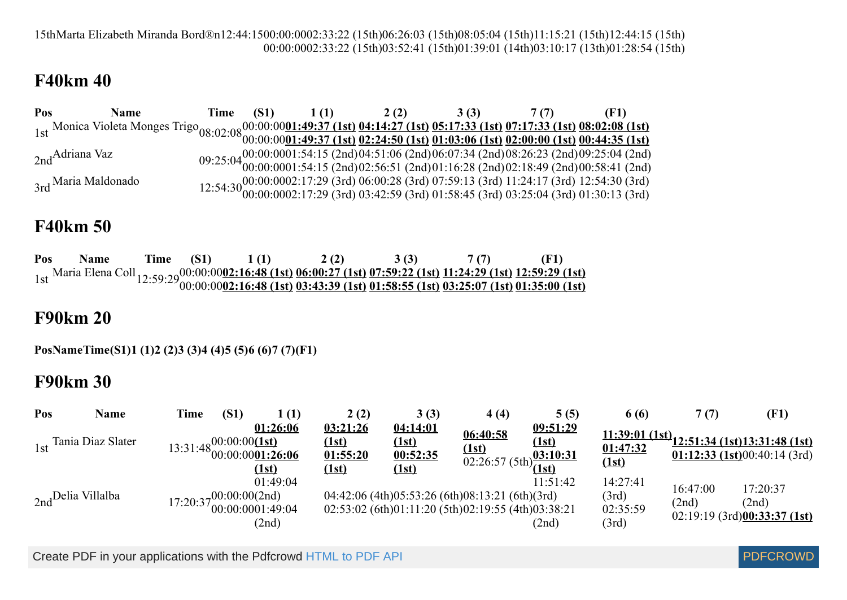15thMarta Elizabeth Miranda Bord®n12:44:1500:00:0002:33:22 (15th)06:26:03 (15th)08:05:04 (15th)11:15:21 (15th)12:44:15 (15th) 00:00:0002:33:22 (15th)03:52:41 (15th)01:39:01 (14th)03:10:17 (13th)01:28:54 (15th)

### **F40km 40**

| Pos                  | <b>Name</b>                                                                                                                                 | Time (S1) | 1(1) | 2(2) 3(3)                                                                                                                                                                          | 7(7) |  |
|----------------------|---------------------------------------------------------------------------------------------------------------------------------------------|-----------|------|------------------------------------------------------------------------------------------------------------------------------------------------------------------------------------|------|--|
|                      | 1st Monica Violeta Monges Trigo <sub>08:02:08</sub> 00:00:0001:49:37 (1st) 04:14:27 (1st) 05:17:33 (1st) 07:17:33 (1st) 08:02:08 (1st) 1st) |           |      |                                                                                                                                                                                    |      |  |
|                      |                                                                                                                                             |           |      |                                                                                                                                                                                    |      |  |
| $_{2nd}$ Adriana Vaz |                                                                                                                                             |           |      | 09:25:04 00:00:0001:54:15 (2nd)04:51:06 (2nd)06:07:34 (2nd)08:26:23 (2nd)09:25:04 (2nd)<br>09:25:04 00:00:0001:54:15 (2nd)02:56:51 (2nd)01:16:28 (2nd)02:18:49 (2nd)00:58:41 (2nd) |      |  |
|                      |                                                                                                                                             |           |      |                                                                                                                                                                                    |      |  |
| 3rd Maria Maldonado  |                                                                                                                                             |           |      | $12:54:3000:0002002:17:29 (3rd) 06:00:28 (3rd) 07:59:13 (3rd) 11:24:17 (3rd) 12:54:30 (3rd) 00:00:0002:17:29 (3rd) 03:42:59 (3rd) 01:58:45 (3rd) 03:25:04 (3rd) 01:30:13 (3rd)$    |      |  |
|                      |                                                                                                                                             |           |      |                                                                                                                                                                                    |      |  |

#### **F40km 50**

**Pos Name Time (S1) 1 (1) 2 (2) 3 (3) 7 (7) (F1)** 1st Maria Elena Coll 12:59:29 00:00:00 **02:16:48 (1st) 02:16:48 (1st) 06:00:27 (1st) 03:43:39 (1st) 07:59:22 (1st) 01:58:55 (1st) 11:24:29 (1st) 03:25:07 (1st) 12:59:29 (1st) 01:35:00 (1st)**

#### **F90km 20**

**PosNameTime(S1)1 (1)2 (2)3 (3)4 (4)5 (5)6 (6)7 (7)(F1)**

### **F90km 30**

| Pos | Name                  | <b>Time</b> | (S1) | 1 (1)                                                                         | 2(2)                                                 | 3(3)                                                 | 4(4)                                                                                                             | 5(5)              | 6 (6)                                  | 7(7)              | (F1)                                                                                  |
|-----|-----------------------|-------------|------|-------------------------------------------------------------------------------|------------------------------------------------------|------------------------------------------------------|------------------------------------------------------------------------------------------------------------------|-------------------|----------------------------------------|-------------------|---------------------------------------------------------------------------------------|
|     | 1st Tania Diaz Slater |             |      | 01:26:06<br>13:31:48 $\frac{00:00:00(1st)}{00:00:0001:26:06}$<br><u>(1st)</u> | 03:21:26<br><u>(1st)</u><br>01:55:20<br><u>(1st)</u> | <u>04:14:01</u><br><u>(1st)</u><br>00:52:35<br>(1st) | 06:40:58<br>(1st)<br>$\frac{1.5t}{02:26:57(5th)} \frac{03:10:31}{(1st)}$                                         | 09:51:29<br>(1st) | 01:47:32<br><u>(1st)</u>               |                   | $\frac{11:39:01 (1st)}{12:51:34 (1st)13:31:48 (1st)}$<br>01:12:33 (1st)00:40:14 (3rd) |
|     | 2nd Delia Villalba    |             |      | 01:49:04<br>$17:20:37\substack{00:00:00(2nd)\\00:00:0001:49:04}$<br>(2nd)     |                                                      |                                                      | 04:42:06 (4th)05:53:26 (6th)08:13:21 (6th)(3rd)<br>$02:53:02$ (6th) $01:11:20$ (5th) $02:19:55$ (4th) $03:38:21$ | 11:51:42<br>(2nd) | 14:27:41<br>(3rd)<br>02:35:59<br>(3rd) | 16:47:00<br>(2nd) | 17:20:37<br>(2nd)<br>$02:19:19$ (3rd) $00:33:37$ (1st)                                |

Create PDF in your applications with the Pdfcrowd [HTML to PDF API](https://pdfcrowd.com/doc/api/?ref=pdf) [PDFCROWD](https://pdfcrowd.com/?ref=pdf) AND THE POFCROWD PUT API PDFCROWD AT A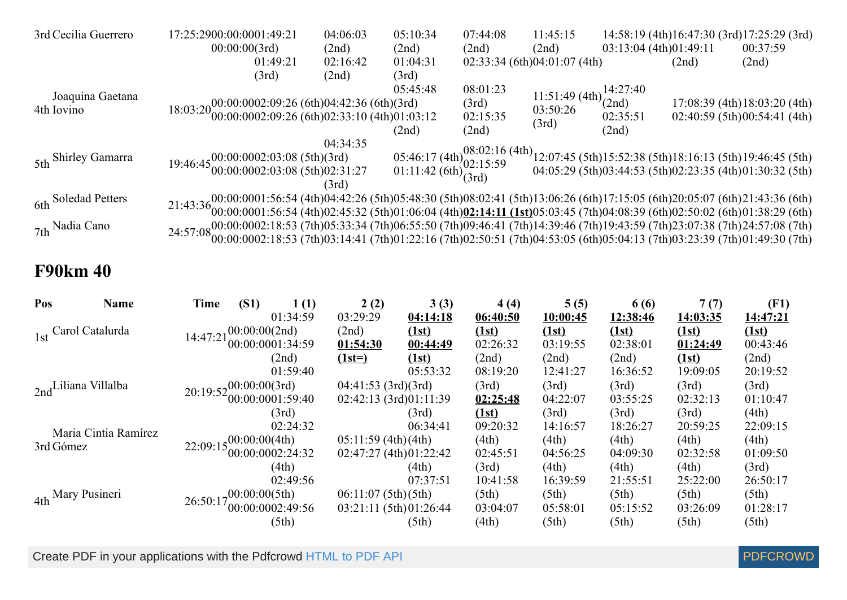| 3rd Cecilia Guerrero | 17:25:2900:00:0001:49:21                                                                                                                                                                                                                                         | 04:06:03 | 05:10:34 | 07:44:08 | 11:45:15                                            |                        |       | 14:58:19 (4th)16:47:30 (3rd)17:25:29 (3rd)                                                                                                                                       |
|----------------------|------------------------------------------------------------------------------------------------------------------------------------------------------------------------------------------------------------------------------------------------------------------|----------|----------|----------|-----------------------------------------------------|------------------------|-------|----------------------------------------------------------------------------------------------------------------------------------------------------------------------------------|
|                      | 00:00:00(3rd)                                                                                                                                                                                                                                                    | (2nd)    | (2nd)    | (2nd)    | (2nd)                                               | 03:13:04 (4th)01:49:11 |       | 00:37:59                                                                                                                                                                         |
|                      | 01:49:21                                                                                                                                                                                                                                                         | 02:16:42 | 01:04:31 |          | 02:33:34(6th)04:01:07(4th)                          |                        | (2nd) | (2nd)                                                                                                                                                                            |
|                      | (3rd)                                                                                                                                                                                                                                                            | (2nd)    | (3rd)    |          |                                                     |                        |       |                                                                                                                                                                                  |
| Joaquina Gaetana     |                                                                                                                                                                                                                                                                  |          | 05:45:48 | 08:01:23 |                                                     |                        |       |                                                                                                                                                                                  |
| 4th Iovino           | $18:03:20\begin{matrix}00:00:0002:09:26 \\ 00:00:0002:09:26 \\ 6th)02:33:10 \\ 4th)01:03:12\end{matrix}$                                                                                                                                                         |          |          | (3rd)    | 11:51:49 (4th) $\frac{14:27:40}{(2nd)}$<br>03:50:26 |                        |       | 17:08:39 (4th) 18:03:20 (4th)                                                                                                                                                    |
|                      |                                                                                                                                                                                                                                                                  |          |          | 02:15:35 |                                                     | 02:35:51               |       | 02:40:59(5th)00:54:41(4th)                                                                                                                                                       |
|                      |                                                                                                                                                                                                                                                                  |          | (2nd)    | (2nd)    | (3rd)                                               | (2nd)                  |       |                                                                                                                                                                                  |
|                      |                                                                                                                                                                                                                                                                  | 04:34:35 |          |          |                                                     |                        |       |                                                                                                                                                                                  |
| 5th Shirley Gamarra  | $19:46:45\substack{00:000002:03:08 \ (5th)(3rd) \ 00:0000002:03:08 \ (5th)02:31:27}$                                                                                                                                                                             |          |          |          |                                                     |                        |       |                                                                                                                                                                                  |
|                      |                                                                                                                                                                                                                                                                  |          |          |          |                                                     |                        |       | 05:46:17 (4th) $08:02:16$ (4th) $12:07:45$ (5th) 15:52:38 (5th) 18:16:13 (5th) 19:46:45 (5th) 01:11:42 (6th) $(3rd)$ 04:05:29 (5th) 03:44:53 (5th) 02:23:35 (4th) 01:30:32 (5th) |
|                      |                                                                                                                                                                                                                                                                  | (3rd)    |          |          |                                                     |                        |       |                                                                                                                                                                                  |
| 6th Soledad Petters  | $21:43:3600:00:0001:56:54 (4th)04:42:26 (5th)05:48:30 (5th)08:02:41 (5th)13:06:26 (6th)17:15:05 (6th)20:05:07 (6th)21:43:36 (6th)20:07 (6th)21:43:36 (6th)21:43:36 (6th)21:43:36 (6th)21:43:36 (6th)21:43:36 (6th)21:43:36 (6th)21:43:36 (6th)21:43:36 (6th)21:$ |          |          |          |                                                     |                        |       |                                                                                                                                                                                  |
|                      |                                                                                                                                                                                                                                                                  |          |          |          |                                                     |                        |       |                                                                                                                                                                                  |
| $7th$ Nadia Cano     | 24:57:08 00:00:0002:18:53 (7th)05:33:34 (7th)06:55:50 (7th)09:46:41 (7th)14:39:46 (7th)19:43:59 (7th)23:07:38 (7th)24:57:08 (7th)<br>24:57:08 00:00:0002:18:53 (7th)03:14:41 (7th)01:22:16 (7th)02:50:51 (7th)04:53:05 (6th)05:04                                |          |          |          |                                                     |                        |       |                                                                                                                                                                                  |
|                      |                                                                                                                                                                                                                                                                  |          |          |          |                                                     |                        |       |                                                                                                                                                                                  |

#### **F90km 40**

| Pos       | <b>Name</b>          | <b>Time</b>                       | (S1) | 1(1)                                                                 | 2(2)                  | 3(3)                    | 4(4)     | 5(5)     | 6 (6)    | 7(7)     | (F1)     |
|-----------|----------------------|-----------------------------------|------|----------------------------------------------------------------------|-----------------------|-------------------------|----------|----------|----------|----------|----------|
|           |                      |                                   |      | 01:34:59                                                             | 03:29:29              | 04:14:18                | 06:40:50 | 10:00:45 | 12:38:46 | 14:03:35 | 14:47:21 |
|           | 1st Carol Catalurda  | $14:47:21_{00}^{00:00:00(2nd)}$   |      |                                                                      | (2nd)                 | (1st)                   | (1st)    | (1st)    | (1st)    | (1st)    | (1st)    |
|           |                      |                                   |      | 00:00:0001:34:59                                                     | 01:54:30              | 00:44:49                | 02:26:32 | 03:19:55 | 02:38:01 | 01:24:49 | 00:43:46 |
|           |                      |                                   |      | (2nd)                                                                | $(1st=)$              | (1st)                   | (2nd)    | (2nd)    | (2nd)    | (1st)    | (2nd)    |
|           |                      |                                   |      | 01:59:40                                                             |                       | 05:53:32                | 08:19:20 | 12:41:27 | 16:36:52 | 19:09:05 | 20:19:52 |
|           | 2nd Liliana Villalba |                                   |      | $20:19:52\begin{array}{l}00:00:00(3rd)\\00:00:0001:59:40\end{array}$ | $04:41:53$ (3rd)(3rd) |                         | (3rd)    | (3rd)    | (3rd)    | (3rd)    | (3rd)    |
|           |                      |                                   |      |                                                                      |                       | 02:42:13 (3rd)01:11:39  | 02:25:48 | 04:22:07 | 03:55:25 | 02:32:13 | 01:10:47 |
|           |                      |                                   |      | (3rd)                                                                |                       | (3rd)                   | (1st)    | (3rd)    | (3rd)    | (3rd)    | (4th)    |
|           | Maria Cintia Ramírez |                                   |      | 02:24:32                                                             |                       | 06:34:41                | 09:20:32 | 14:16:57 | 18:26:27 | 20:59:25 | 22:09:15 |
| 3rd Gómez |                      | $22:09:15\frac{00:00:00(4th)}{2}$ |      |                                                                      | 05:11:59(4th)(4th)    |                         | (4th)    | (4th)    | (4th)    | (4th)    | (4th)    |
|           |                      |                                   |      | 00:00:0002:24:32                                                     |                       | 02:47:27 (4th)01:22:42  | 02:45:51 | 04:56:25 | 04:09:30 | 02:32:58 | 01:09:50 |
|           |                      |                                   |      | (4th)                                                                |                       | (4th)                   | (3rd)    | (4th)    | (4th)    | (4th)    | (3rd)    |
|           |                      |                                   |      | 02:49:56                                                             |                       | 07:37:51                | 10:41:58 | 16:39:59 | 21:55:51 | 25:22:00 | 26:50:17 |
|           | 4th Mary Pusineri    | $26:50:17_{00}^{00:00:00(5th)}$   |      |                                                                      | 06:11:07(5th)(5th)    |                         | (5th)    | (5th)    | (5th)    | (5th)    | (5th)    |
|           |                      |                                   |      | 00:00:0002:49:56                                                     |                       | 03:21:11 (5th) 01:26:44 | 03:04:07 | 05:58:01 | 05:15:52 | 03:26:09 | 01:28:17 |
|           |                      |                                   |      | (5th)                                                                |                       | (5th)                   | (4th)    | (5th)    | (5th)    | (5th)    | (5th)    |

Create PDF in your applications with the Pdfcrowd [HTML to PDF API](https://pdfcrowd.com/doc/api/?ref=pdf) [PDFCROWD](https://pdfcrowd.com/?ref=pdf) Create PDF API PDFCROWD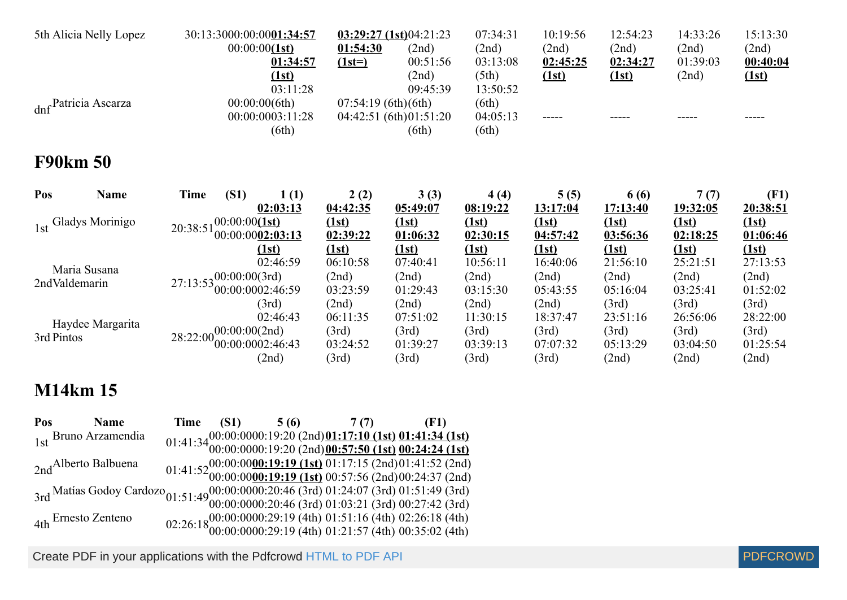| 5th Alicia Nelly Lopez         | 30:13:3000:00:0001:34:57<br>00:00:00(1st)<br>01:34:57                        | 01:54:30<br>$(1st=)$                            | 03:29:27(1st)04:21:23<br>(2nd)<br>00:51:56          | 07:34:31<br>(2nd)<br>03:13:08                   | 10:19:56<br>(2nd)<br>02:45:25                   | 12:54:23<br>(2nd)<br>02:34:27                   | 14:33:26<br>(2nd)<br>01:39:03                   | 15:13:30<br>(2nd)<br><u>00:40:04</u>            |
|--------------------------------|------------------------------------------------------------------------------|-------------------------------------------------|-----------------------------------------------------|-------------------------------------------------|-------------------------------------------------|-------------------------------------------------|-------------------------------------------------|-------------------------------------------------|
| dnf Patricia Ascarza           | (1st)<br>03:11:28<br>00:00:00(6th)<br>00:00:0003:11:28<br>(6th)              | 07:54:19(6th)(6th)                              | (2nd)<br>09:45:39<br>04:42:51(6th)01:51:20<br>(6th) | (5th)<br>13:50:52<br>(6th)<br>04:05:13<br>(6th) | (1st)                                           | (1st)                                           | (2nd)                                           | (1st)                                           |
| <b>F90km 50</b>                |                                                                              |                                                 |                                                     |                                                 |                                                 |                                                 |                                                 |                                                 |
| Pos<br><b>Name</b>             | <b>Time</b><br>(S1)<br>1(1)<br>02:03:13                                      | 2(2)<br>04:42:35                                | 3(3)<br>05:49:07                                    | 4(4)<br>08:19:22                                | 5(5)<br>13:17:04                                | 6 (6)<br>17:13:40                               | 7(7)<br><u>19:32:05</u>                         | (F1)<br>20:38:51                                |
| 1st Gladys Morinigo            | 00:00:00(1st)<br>20:38:51<br>00:00:0002:03:13<br>(1st)                       | (1st)<br>02:39:22<br>(1st)                      | (1st)<br>01:06:32<br>(1st)                          | (1st)<br>02:30:15<br>(1st)                      | (1st)<br>04:57:42<br>(1st)                      | (1st)<br>03:56:36<br>(1st)                      | <u>(1st)</u><br>02:18:25<br>(1st)               | (1st)<br>01:06:46<br>(1st)                      |
| Maria Susana<br>2ndValdemarin  | 02:46:59<br>$27:13:53^{00:00:00(3rd)}$<br>00:00:0002:46:59                   | 06:10:58<br>(2nd)<br>03:23:59                   | 07:40:41<br>(2nd)<br>01:29:43                       | 10:56:11<br>(2nd)<br>03:15:30                   | 16:40:06<br>(2nd)<br>05:43:55                   | 21:56:10<br>(2nd)<br>05:16:04                   | 25:21:51<br>(2nd)<br>03:25:41                   | 27:13:53<br>(2nd)<br>01:52:02                   |
| Haydee Margarita<br>3rd Pintos | (3rd)<br>02:46:43<br>$28:22:00^{00:00:00(2nd)}$<br>00:00:0002:46:43<br>(2nd) | (2nd)<br>06:11:35<br>(3rd)<br>03:24:52<br>(3rd) | (2nd)<br>07:51:02<br>(3rd)<br>01:39:27<br>(3rd)     | (2nd)<br>11:30:15<br>(3rd)<br>03:39:13<br>(3rd) | (2nd)<br>18:37:47<br>(3rd)<br>07:07:32<br>(3rd) | (3rd)<br>23:51:16<br>(3rd)<br>05:13:29<br>(2nd) | (3rd)<br>26:56:06<br>(3rd)<br>03:04:50<br>(2nd) | (3rd)<br>28:22:00<br>(3rd)<br>01:25:54<br>(2nd) |

| Pos Name                                                                                                                                                                                                   |  | Time $(S1)$ 5 (6) 7 (7) (F1) |                                                                                                                                  |
|------------------------------------------------------------------------------------------------------------------------------------------------------------------------------------------------------------|--|------------------------------|----------------------------------------------------------------------------------------------------------------------------------|
| 1st Bruno Arzamendia                                                                                                                                                                                       |  |                              |                                                                                                                                  |
|                                                                                                                                                                                                            |  |                              | 01:41:34 00:00:0000:19:20 (2nd) 01:17:10 (1st) 01:41:34 (1st)<br>01:41:34 00:00:0000:19:20 (2nd) 00:57:50 (1st) 00:24:24 (1st)   |
| 2nd <sup>Alberto</sup> Balbuena                                                                                                                                                                            |  |                              |                                                                                                                                  |
|                                                                                                                                                                                                            |  |                              | 01:41:52 00:00:00 00:19:19 (1st) 01:17:15 (2nd) 01:41:52 (2nd)<br>01:41:52 00:00:00 00:19:19 (1st) 00:57:56 (2nd) 00:24:37 (2nd) |
| $3rd \frac{{\rm Matías\,\, Godoy\,\, Cardozo}_{01:51:49}00:00:000:20:46\,\, (3rd)\,\, 01:24:07\,\, (3rd)\,\, 01:51:49\,\, (3rd)}{00:00:000:20:46\,\, (3rd)\,\, 01:03:21\,\, (3rd)\,\, 00:27:42\,\, (3rd)}$ |  |                              |                                                                                                                                  |
|                                                                                                                                                                                                            |  |                              |                                                                                                                                  |
| 4th Ernesto Zenteno                                                                                                                                                                                        |  |                              | 02:26:18 00:00:00000:29:19 (4th) 01:51:16 (4th) 02:26:18 (4th) 02:26:18 00:00:0000:29:19 (4th) 01:21:57 (4th) 00:35:02 (4th)     |
|                                                                                                                                                                                                            |  |                              |                                                                                                                                  |

Create PDF in your applications with the Pdfcrowd [HTML to PDF API](https://pdfcrowd.com/doc/api/?ref=pdf) [PDFCROWD](https://pdfcrowd.com/?ref=pdf) Create PDF API

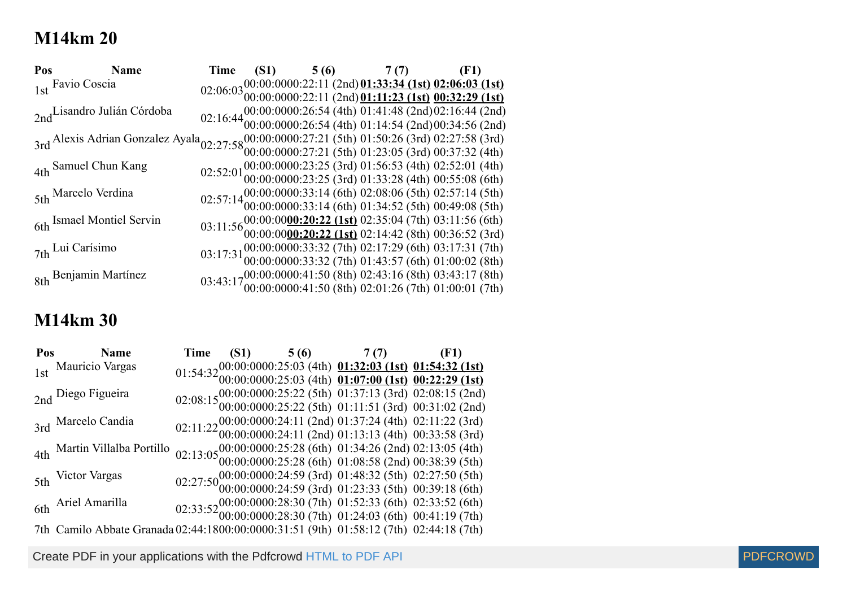| Pos Name                                                                                                                                                             | Time |  | (S1) $5(6)$ $7(7)$ (F1)                                                                                                                                                                                                 |                                                                                                                                                |
|----------------------------------------------------------------------------------------------------------------------------------------------------------------------|------|--|-------------------------------------------------------------------------------------------------------------------------------------------------------------------------------------------------------------------------|------------------------------------------------------------------------------------------------------------------------------------------------|
| 1st Favio Coscia                                                                                                                                                     |      |  |                                                                                                                                                                                                                         | $02:06:03\frac{00:00:0000:22:11(2nd)01:33:34(1st)02:06:03(1st)}{00:00:00000:22:11(2nd)01:11:23(1st)00:32:29(1st)}$                             |
|                                                                                                                                                                      |      |  |                                                                                                                                                                                                                         |                                                                                                                                                |
| 2nd Lisandro Julián Córdoba                                                                                                                                          |      |  |                                                                                                                                                                                                                         | 02:16:44 00:00:0000:26:54 (4th) 01:41:48 (2nd) 02:16:44 (2nd) 02:16:44 00:00:0000:26:54 (4th) 01:14:54 (2nd) 00:34:56 (2nd)                    |
|                                                                                                                                                                      |      |  |                                                                                                                                                                                                                         |                                                                                                                                                |
| 3rd Alexis Adrian Gonzalez Ayala <sub>02:27:58</sub> 00:00:0000:27:21 (5th) 01:50:26 (3rd) 02:27:58 (3rd)<br>00:00:00:0000:27:21 (5th) 01:23:05 (3rd) 00:37:32 (4th) |      |  |                                                                                                                                                                                                                         |                                                                                                                                                |
|                                                                                                                                                                      |      |  |                                                                                                                                                                                                                         |                                                                                                                                                |
| 4th Samuel Chun Kang                                                                                                                                                 |      |  | 02:52:01 00:00:00000:23:25 (3rd) 01:56:53 (4th) 02:52:01 (4th) 02:52:01 00:00:00:0000:23:25 (3rd) 01:33:28 (4th) 00:55:08 (6th)                                                                                         |                                                                                                                                                |
|                                                                                                                                                                      |      |  |                                                                                                                                                                                                                         |                                                                                                                                                |
| 5th Marcelo Verdina                                                                                                                                                  |      |  | 02:57:14 (00:00:0000:33:14 (6th) 02:08:06 (5th) 02:57:14 (5th)<br>00:00:00:0000:33:14 (6th) 01:34:52 (5th) 00:49:08 (5th)                                                                                               |                                                                                                                                                |
|                                                                                                                                                                      |      |  |                                                                                                                                                                                                                         |                                                                                                                                                |
| 6th Ismael Montiel Servin                                                                                                                                            |      |  |                                                                                                                                                                                                                         | 03:11:56 00:00:00 <u>00:20:22 (1st)</u> 02:35:04 (7th) 03:11:56 (6th)<br>03:11:56 00:00:00 <u>00:20:22 (1st)</u> 02:14:42 (8th) 00:36:52 (3rd) |
|                                                                                                                                                                      |      |  |                                                                                                                                                                                                                         |                                                                                                                                                |
| <sub>7th</sub> Lui Carísimo                                                                                                                                          |      |  | $03:17:31 \\ 00:00 \\ 0000 \\ \textrm{.33:32 (7th) } \\ 02:17:29 \textrm{ (6th) } \\ 03:17:31 \textrm{ (7th) } \\ 00:00 \\ \textrm{.00:0000:33:32 (7th) } \\ 01:43:57 \textrm{ (6th) } \\ 01:00:02 \textrm{ (8th) } \\$ |                                                                                                                                                |
|                                                                                                                                                                      |      |  |                                                                                                                                                                                                                         |                                                                                                                                                |
| 8th Benjamin Martínez                                                                                                                                                |      |  | 03:43:17 $00:00:0000:41:50$ (8th) 02:43:16 (8th) 03:43:17 (8th) 03:43:17 $00:00:0000:41:50$ (8th) 02:01:26 (7th) 01:00:01 (7th)                                                                                         |                                                                                                                                                |
|                                                                                                                                                                      |      |  |                                                                                                                                                                                                                         |                                                                                                                                                |

### **M14km 30**

| Pos Name                                                                               |  | Time (S1) $5(6)$ 7(7) (F1)                                                                                                                                                                                             |  |  |  |
|----------------------------------------------------------------------------------------|--|------------------------------------------------------------------------------------------------------------------------------------------------------------------------------------------------------------------------|--|--|--|
| 1st Mauricio Vargas                                                                    |  | 01:54:32 00:00:0000:25:03 (4th) 01:32:03 (1st) 01:54:32 (1st)<br>01:54:32 00:00:0000:25:03 (4th) 01:07:00 (1st) 00:22:29 (1st)                                                                                         |  |  |  |
|                                                                                        |  |                                                                                                                                                                                                                        |  |  |  |
| 2nd Diego Figueira                                                                     |  | $02:08:15\substack{00:00:0000:25:22\ (5\,)}\ 01:37:13\ (3\,rd)\ 02:08:15\ (2\,rd)\ 03:000:0000:25:22\ (5\,th)\ 01:11:51\ (3\,rd)\ 00:31:02\ (2\,rd)$                                                                   |  |  |  |
|                                                                                        |  |                                                                                                                                                                                                                        |  |  |  |
| 3rd Marcelo Candia                                                                     |  | $02:11:22 \\ 00:00 \\ \textrm{.0000024:11 (2nd) } \\ 01:37:24 \text{ (4th) } 02:11:22 \text{ (3rd) } \\ 02:11:22 \text{ (3rd) } 03:000 \\ \textrm{.0000024:11 (2nd) } 01:13:13 \text{ (4th) } 00:33:58 \text{ (3rd) }$ |  |  |  |
|                                                                                        |  |                                                                                                                                                                                                                        |  |  |  |
| 4th Martin Villalba Portillo                                                           |  |                                                                                                                                                                                                                        |  |  |  |
|                                                                                        |  | 02:13:05 <sup>00:00:0000:25:28</sup> (6th) 01:34:26 (2nd) 02:13:05 (4th)<br>02:13:05 <sup>00:00:0000:25:28</sup> (6th) 01:08:58 (2nd) 00:38:39 (5th)                                                                   |  |  |  |
| 5th Victor Vargas                                                                      |  |                                                                                                                                                                                                                        |  |  |  |
|                                                                                        |  | 02:27:50 00:00:0000:24:59 (3rd) 01:48:32 (5th) 02:27:50 (5th)<br>02:27:50 00:00:00:0000:24:59 (3rd) 01:23:33 (5th) 00:39:18 (6th)                                                                                      |  |  |  |
| 6th Ariel Amarilla                                                                     |  |                                                                                                                                                                                                                        |  |  |  |
|                                                                                        |  | 02:33:52 00:00:0000:28:30 (7th) 01:52:33 (6th) 02:33:52 (6th) 02:33:52 00:00:0000:28:30 (7th) 01:24:03 (6th) 00:41:19 (7th)                                                                                            |  |  |  |
| 7th Camilo Abbate Granada 02:44:1800:00:0000:31:51 (9th) 01:58:12 (7th) 02:44:18 (7th) |  |                                                                                                                                                                                                                        |  |  |  |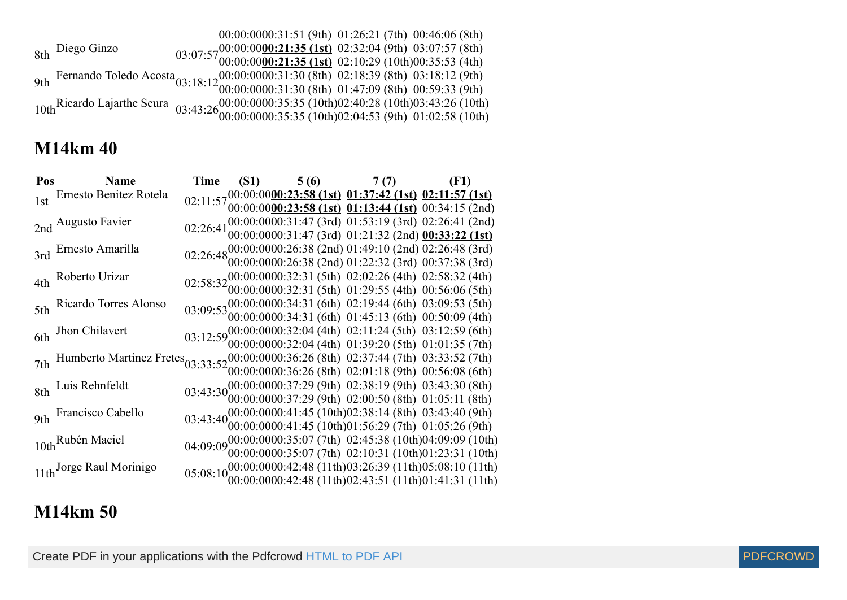|                 | 00:00:0000:31:51 (9th) 01:26:21 (7th) 00:46:06 (8th)                                                                                                                              |  |
|-----------------|-----------------------------------------------------------------------------------------------------------------------------------------------------------------------------------|--|
| 8th Diego Ginzo |                                                                                                                                                                                   |  |
|                 | 03:07:57 $00:00:0000:21:35$ (1st) 02:32:04 (9th) 03:07:57 (8th)<br>03:07:57 $00:00:0000:21:35$ (1st) 02:10:29 (10th)00:35:53 (4th)                                                |  |
|                 | 9th Fernando Toledo Acosta 03:18:12 00:00:0000:31:30 (8th) 02:18:39 (8th) 03:18:12 (9th) 9th Fernando Toledo Acosta 03:18:12 00:00:0000:31:30 (8th) 01:47:09 (8th) 00:59:33 (9th) |  |
|                 |                                                                                                                                                                                   |  |
|                 | 10th Ricardo Lajarthe Scura<br>03:43:26 00:00:0000:35:35 (10th)02:40:28 (10th)03:43:26 (10th)<br>03:43:26 00:00:0000:35:35 (10th)02:04:53 (9th) 01:02:58 (10th)                   |  |
|                 |                                                                                                                                                                                   |  |

| Pos Name                                                                                                                                                            |  |  | Time (S1) 5 (6) 7 (7) (F1)<br>02:11:57 00:00:00 <u>00:23:58 (1st)</u> 01:37:42 (1st) 02:11:57 (1st)<br>02:11:57 00:00:00 <u>00:23:58 (1st)</u> 01:13:44 (1st) 00:34:15 (2nd)                                                                                                                                                                                                                                           |  |  |
|---------------------------------------------------------------------------------------------------------------------------------------------------------------------|--|--|------------------------------------------------------------------------------------------------------------------------------------------------------------------------------------------------------------------------------------------------------------------------------------------------------------------------------------------------------------------------------------------------------------------------|--|--|
| 1st Ernesto Benitez Rotela                                                                                                                                          |  |  |                                                                                                                                                                                                                                                                                                                                                                                                                        |  |  |
|                                                                                                                                                                     |  |  |                                                                                                                                                                                                                                                                                                                                                                                                                        |  |  |
| 2nd Augusto Favier                                                                                                                                                  |  |  | 02:26:41 $00:00:0000:31:47$ (3rd) 01:53:19 (3rd) 02:26:41 (2nd)<br>02:26:41 $00:00:0000:31:47$ (3rd) 01:21:32 (2nd) 00:33:22 (1st)                                                                                                                                                                                                                                                                                     |  |  |
|                                                                                                                                                                     |  |  |                                                                                                                                                                                                                                                                                                                                                                                                                        |  |  |
| 3rd Ernesto Amarilla                                                                                                                                                |  |  | 02:26:48 00:00:0000:26:38 (2nd) 01:49:10 (2nd) 02:26:48 (3rd)<br>02:26:48 00:00:0000:26:38 (2nd) 01:22:32 (3rd) 00:37:38 (3rd)                                                                                                                                                                                                                                                                                         |  |  |
|                                                                                                                                                                     |  |  |                                                                                                                                                                                                                                                                                                                                                                                                                        |  |  |
| 4th Roberto Urizar                                                                                                                                                  |  |  | 02:58:32 00:00:0000:32:31 (5th) 02:02:26 (4th) 02:58:32 (4th) 02:58:32 00:00:0000:32:31 (5th) 01:29:55 (4th) 00:56:06 (5th)                                                                                                                                                                                                                                                                                            |  |  |
|                                                                                                                                                                     |  |  |                                                                                                                                                                                                                                                                                                                                                                                                                        |  |  |
| 5th Ricardo Torres Alonso                                                                                                                                           |  |  | 03:09:53 00:00:0000:34:31 (6th) 02:19:44 (6th) 03:09:53 (5th)<br>03:09:53 00:00:0000:34:31 (6th) 01:45:13 (6th) 00:50:09 (4th)                                                                                                                                                                                                                                                                                         |  |  |
|                                                                                                                                                                     |  |  |                                                                                                                                                                                                                                                                                                                                                                                                                        |  |  |
| 6th Jhon Chilavert                                                                                                                                                  |  |  | 03:12:59 00:00:0000:32:04 (4th) 02:11:24 (5th) 03:12:59 (6th)<br>03:12:59 00:00:0000:32:04 (4th) 01:39:20 (5th) 01:01:35 (7th)                                                                                                                                                                                                                                                                                         |  |  |
|                                                                                                                                                                     |  |  |                                                                                                                                                                                                                                                                                                                                                                                                                        |  |  |
| 7th Humberto Martinez Fretes <sub>03:33:52</sub> 00:00:0000:36:26 (8th) 02:37:44 (7th) 03:33:52 (7th)<br>00:00:00:00:0000:36:26 (8th) 02:01:18 (9th) 00:56:08 (6th) |  |  |                                                                                                                                                                                                                                                                                                                                                                                                                        |  |  |
|                                                                                                                                                                     |  |  |                                                                                                                                                                                                                                                                                                                                                                                                                        |  |  |
| 8th Luis Rehnfeldt                                                                                                                                                  |  |  | $03:43:30 \\ 00:00 \\ \vdots \\ 000:00 \\ \vdots \\ 000 \\ \vdots \\ 000 \\ \vdots \\ 000 \\ \vdots \\ 000 \\ \vdots \\ 000 \\ \vdots \\ 000 \\ \vdots \\ 000 \\ \vdots \\ 000 \\ \vdots \\ 000 \\ \vdots \\ 000 \\ \vdots \\ 000 \\ \vdots \\ 000 \\ \vdots \\ 000 \\ \vdots \\ 000 \\ \vdots \\ 000 \\ \vdots \\ 000 \\ \vdots \\ 000 \\ \vdots \\ 000 \\ \vdots \\ 000 \\ \vdots \\ 000 \\ \vdots \\ 000 \\ \vdots$ |  |  |
|                                                                                                                                                                     |  |  |                                                                                                                                                                                                                                                                                                                                                                                                                        |  |  |
| 9th Francisco Cabello                                                                                                                                               |  |  | $03:43:40\begin{array}{l} 00:00:0000:41:45 \ (10th)02:38:14 \ (8th) \ 03:43:40 \ (9th) \\ 00:00:0000:41:45 \ (10th)01:56:29 \ (7th) \ 01:05:26 \ (9th) \end{array}$                                                                                                                                                                                                                                                    |  |  |
|                                                                                                                                                                     |  |  |                                                                                                                                                                                                                                                                                                                                                                                                                        |  |  |
| 10th Rubén Maciel                                                                                                                                                   |  |  | 04:09:09 <sup>00:00:0000:35:07</sup> (7th) 02:45:38 (10th)04:09:09 (10th)<br>04:09:09 <sup>00:00:0000:35:07</sup> (7th) 02:10:31 (10th)01:23:31 (10th)                                                                                                                                                                                                                                                                 |  |  |
|                                                                                                                                                                     |  |  |                                                                                                                                                                                                                                                                                                                                                                                                                        |  |  |
| 11th Jorge Raul Morinigo                                                                                                                                            |  |  | 05:08:10 <sub>00:00:0000:42:48</sub> (11th)03:26:39 (11th)05:08:10 (11th)<br>05:08:10 <sub>00:00:0000:42:48</sub> (11th)02:43:51 (11th)01:41:31 (11th)                                                                                                                                                                                                                                                                 |  |  |
|                                                                                                                                                                     |  |  |                                                                                                                                                                                                                                                                                                                                                                                                                        |  |  |

### **M14km 50**

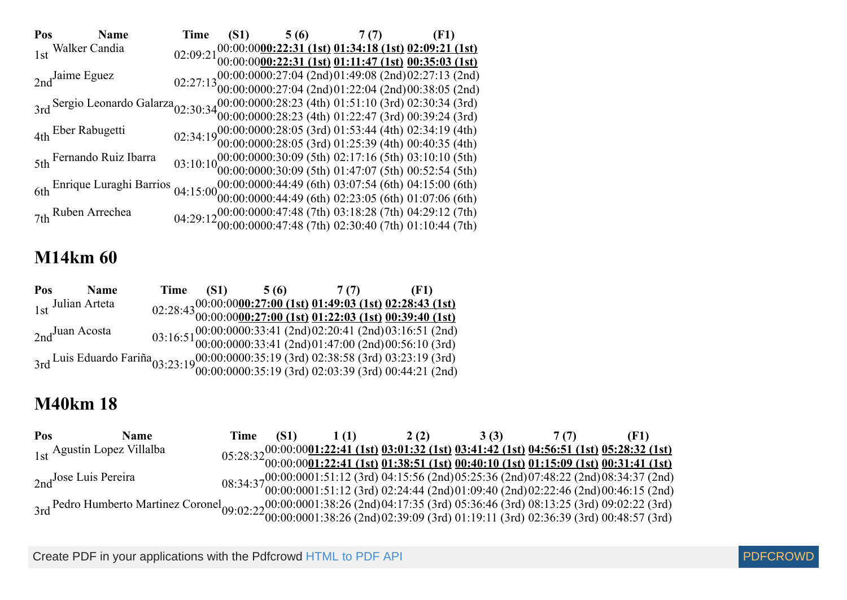| Pos Name                                                                                                                                                               | <b>Time</b> |  | (S1) $5(6)$ 7(7) (F1) |                                                                                                                                                                                                                                                                                                                    |
|------------------------------------------------------------------------------------------------------------------------------------------------------------------------|-------------|--|-----------------------|--------------------------------------------------------------------------------------------------------------------------------------------------------------------------------------------------------------------------------------------------------------------------------------------------------------------|
| 1st Walker Candia                                                                                                                                                      |             |  |                       | 02:09:21 <sup>00:00:00</sup> 00:22:31 (1st) 01:34:18 (1st) 02:09:21 (1st)<br>02:09:21 <sup>00:00:00</sup> 00:22:31 (1st) 01:11:47 (1st) 00:35:03 (1st)                                                                                                                                                             |
|                                                                                                                                                                        |             |  |                       |                                                                                                                                                                                                                                                                                                                    |
| $2nd$ Jaime Eguez                                                                                                                                                      |             |  |                       | $02:27:13\substack{00:00:0000:27:04\ (2nd)01:49:08\ (2nd)02:27:13\ (2nd)\\00:00:0000:27:04\ (2nd)01:22:04\ (2nd)00:38:05\ (2nd)$                                                                                                                                                                                   |
|                                                                                                                                                                        |             |  |                       |                                                                                                                                                                                                                                                                                                                    |
| 3rd Sergio Leonardo Galarza 02:30:34 00:00:0000:28:23 (4th) 01:51:10 (3rd) 02:30:34 (3rd) 3rd 3rd) 03:30:34 (3rd) 00:00:0000:28:23 (4th) 01:22:47 (3rd) 00:39:24 (3rd) |             |  |                       |                                                                                                                                                                                                                                                                                                                    |
|                                                                                                                                                                        |             |  |                       |                                                                                                                                                                                                                                                                                                                    |
| 4th Eber Rabugetti                                                                                                                                                     |             |  |                       | 02:34:19 00:00:00000:28:05 (3rd) 01:53:44 (4th) 02:34:19 (4th) 02:34:19 00:00:0000:28:05 (3rd) 01:25:39 (4th) 00:40:35 (4th)                                                                                                                                                                                       |
|                                                                                                                                                                        |             |  |                       |                                                                                                                                                                                                                                                                                                                    |
| 5th Fernando Ruiz Ibarra                                                                                                                                               |             |  |                       | $03:10:10\substack{00:00:0000:30:09\\00:00:0000:30:09} \text{ (5th) } 02:17:16 \text{ (5th) } 03:10:10 \text{ (5th) } \\ 03:2:54 \text{ (5th) } 00:52:54 \text{ (5th) } 03:10:10 \text{ (5th) } 03:10:10 \text{ (5th) } 03:10:10 \text{ (5th) } 03:10:10 \text{ (5th) } 03:10:10 \text{ (5th) } 03:10:10 \text{ ($ |
|                                                                                                                                                                        |             |  |                       |                                                                                                                                                                                                                                                                                                                    |
| 6th Enrique Luraghi Barrios 04:15:00000:0000000:44:49 (6th) 03:07:54 (6th) 04:15:00 (6th) 04:15:00 (6th) 04:15:00 (6th) 02:23:05 (6th) 01:07:06 (6th)                  |             |  |                       |                                                                                                                                                                                                                                                                                                                    |
|                                                                                                                                                                        |             |  |                       |                                                                                                                                                                                                                                                                                                                    |
| 7th Ruben Arrechea                                                                                                                                                     |             |  |                       | 04:29:12 $00:00:0000:47:48$ (7th) 03:18:28 (7th) 04:29:12 (7th) 04:29:12 (7th) 04:29:12 (7th) 01:10:44 (7th)                                                                                                                                                                                                       |
|                                                                                                                                                                        |             |  |                       |                                                                                                                                                                                                                                                                                                                    |

| Pos               | <b>Name</b> |  |  | Time $(S1)$ 5 (6) 7 (7) (F1)                                                                                                                                      |
|-------------------|-------------|--|--|-------------------------------------------------------------------------------------------------------------------------------------------------------------------|
| 1st Julian Arteta |             |  |  | $02:28:4300:00:00000:27:00 (1st) 01:49:03 (1st) 02:28:43 (1st)$<br>$02:28:4300:00:0000:27:00 (1st) 01:22:03 (1st) 00:39:40 (1st)$                                 |
|                   |             |  |  |                                                                                                                                                                   |
| $2nd$ Juan Acosta |             |  |  | 03:16:51 00:00:0000:33:41 (2nd)02:20:41 (2nd)03:16:51 (2nd)<br>03:16:51 00:00:0000:33:41 (2nd)01:47:00 (2nd)00:56:10 (3rd)                                        |
|                   |             |  |  |                                                                                                                                                                   |
|                   |             |  |  | 3rd Luis Eduardo Fariña 03:23:19 (00:00:0000:35:19 (3rd) 02:38:58 (3rd) 03:23:19 (3rd) 03:23:19 (3rd) 03:23:19 (3rd) 03:23:19 (3rd) 03:23:19 (3rd) 05:44:21 (2nd) |
|                   |             |  |  |                                                                                                                                                                   |

### **M40km 18**

| <b>Pos</b> | <b>Name</b>                                                                                                                                                                                                                    | Time (S1) | 2(2) | $3(3)$ $7(7)$ |                                                                                                                                                                                                                                                                                                                    |
|------------|--------------------------------------------------------------------------------------------------------------------------------------------------------------------------------------------------------------------------------|-----------|------|---------------|--------------------------------------------------------------------------------------------------------------------------------------------------------------------------------------------------------------------------------------------------------------------------------------------------------------------|
|            | 1st Agustin Lopez Villalba                                                                                                                                                                                                     |           |      |               | $05:28:32\frac{00:00:0001:22:41 \text{ (1st) } 03:01:32 \text{ (1st) } 03:41:42 \text{ (1st) } 04:56:51 \text{ (1st) } 05:28:32 \text{ (1st) } 03:01:22:41 \text{ (1st) } 01:38:51 \text{ (1st) } 00:40:10 \text{ (1st) } 01:15:09 \text{ (1st) } 00:31:41 \text{ (1st) } 01:15:09 \text{ (1st) } 00:31:41 \text{$ |
|            |                                                                                                                                                                                                                                |           |      |               |                                                                                                                                                                                                                                                                                                                    |
|            | $_{2nd}$ Jose Luis Pereira                                                                                                                                                                                                     |           |      |               |                                                                                                                                                                                                                                                                                                                    |
|            |                                                                                                                                                                                                                                |           |      |               | $08:34:3700:0001001:51:12 (3rd) 04:15:56 (2nd) 05:25:36 (2nd) 07:48:22 (2nd) 08:34:37 (2nd) 08:34:37 (2nd) 09:40 (2nd) 02:22:46 (2nd) 00:46:15 (2nd) 09:40 (2nd) 01:09:40 (2nd) 02:22:46 (2nd) 00:46:15 (2nd) 09:40 (2nd) 01:09:40 (2nd) 01:09:40 (2nd) 01:09$                                                     |
|            |                                                                                                                                                                                                                                |           |      |               |                                                                                                                                                                                                                                                                                                                    |
|            | 3rd Pedro Humberto Martinez Coronel 09:02:22 00:00:0001:38:26 (2nd)04:17:35 (3rd) 05:36:46 (3rd) 08:13:25 (3rd) 09:02:22 (3rd) 3rd Pedro Humberto Martinez Coronel 09:02:22 00:00:0001:38:26 (2nd)02:39:09 (3rd) 01:19:11 (3rd |           |      |               |                                                                                                                                                                                                                                                                                                                    |

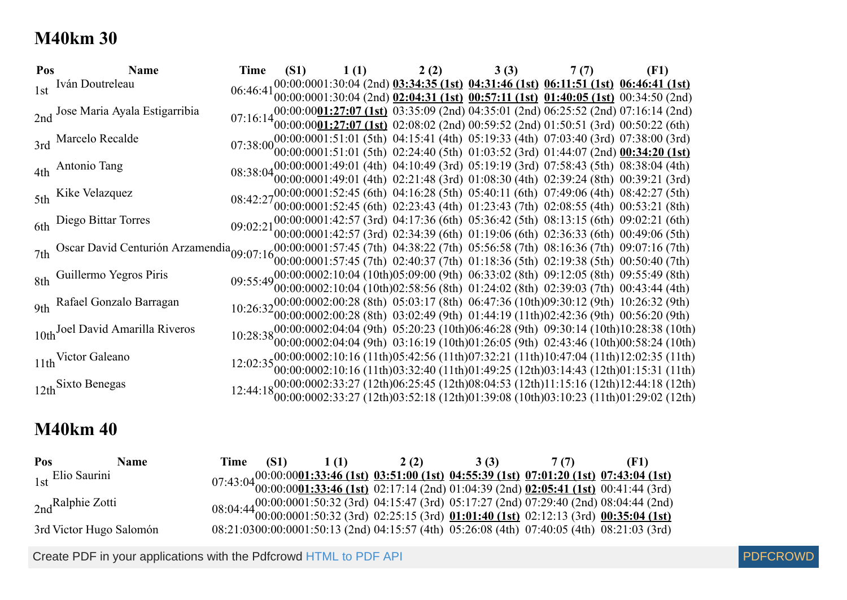### **M40km 30**

| Pos | <b>Name</b>                                                                                                                                     | Time |  |  | (S1) $1(1)$ $2(2)$ $3(3)$ $7(7)$                                                                                                                                                                                 | (F1)                                                                                                                                                                                                                                               |
|-----|-------------------------------------------------------------------------------------------------------------------------------------------------|------|--|--|------------------------------------------------------------------------------------------------------------------------------------------------------------------------------------------------------------------|----------------------------------------------------------------------------------------------------------------------------------------------------------------------------------------------------------------------------------------------------|
|     | 1st Iván Doutreleau                                                                                                                             |      |  |  |                                                                                                                                                                                                                  | 06:46:41 <sup>00:00:0001:30:04</sup> (2nd) 03:34:35 (1st) 04:31:46 (1st) 06:11:51 (1st) 06:46:41 (1st)<br>06:46:41 00:00:0001:30:04 (2nd) 02:04:31 (1st) 00:57:11 (1st) 01:40:05 (1st) 00:34:50 (2nd)                                              |
|     |                                                                                                                                                 |      |  |  |                                                                                                                                                                                                                  |                                                                                                                                                                                                                                                    |
|     | 2nd Jose Maria Ayala Estigarribia                                                                                                               |      |  |  |                                                                                                                                                                                                                  | $07:16:14\frac{00:00:0001:27:07(1st)}{00:00:0001:27:07(1st)}$ $03:35:09$ (2nd) $04:35:01$ (2nd) $06:25:52$ (2nd) $07:16:14$ (2nd) $00:00:0001:27:07$ (1st) $02:08:02$ (2nd) $00:59:52$ (2nd) $01:50:51$ (3rd) $00:50:22$ (6th)                     |
|     |                                                                                                                                                 |      |  |  |                                                                                                                                                                                                                  |                                                                                                                                                                                                                                                    |
|     | 3rd Marcelo Recalde                                                                                                                             |      |  |  | $07:38:00000000001:51:01$ (5th) $04:15:41$ (4th) $05:19:33$ (4th) $07:03:40$ (3rd) $07:38:00$ (3rd) $00:000001:51:01$ (5th) $02:24:40$ (5th) $01:03:52$ (3rd) $01:44:07$ (2nd) $00:34:20$ (1st)                  |                                                                                                                                                                                                                                                    |
|     |                                                                                                                                                 |      |  |  |                                                                                                                                                                                                                  |                                                                                                                                                                                                                                                    |
|     | 4th Antonio Tang                                                                                                                                |      |  |  | $08:38:0400:00:0001:49:01 (4th) 04:10:49 (3rd) 05:19:19 (3rd) 07:58:43 (5th) 08:38:04 (4th) 08:38:04 (6th) 08:09 (6th) 09:00001:49:01 (4th) 02:21:48 (3rd) 01:08:30 (4th) 02:39:24 (8th) 00:39:21 (3rd)$         |                                                                                                                                                                                                                                                    |
|     |                                                                                                                                                 |      |  |  |                                                                                                                                                                                                                  |                                                                                                                                                                                                                                                    |
|     | 5th Kike Velazquez                                                                                                                              |      |  |  | $08:42:2700:00:0001:52:45$ (6th) $04:16:28$ (5th) $05:40:11$ (6th) $07:49:06$ (4th) $08:42:27$ (5th) $08:42:27$ (5th) $00:00001:52:45$ (6th) $02:23:43$ (4th) $01:23:43$ (7th) $02:08:55$ (4th) $00:53:21$ (8th) |                                                                                                                                                                                                                                                    |
|     |                                                                                                                                                 |      |  |  |                                                                                                                                                                                                                  |                                                                                                                                                                                                                                                    |
|     | 6th Diego Bittar Torres                                                                                                                         |      |  |  | 09:02:21 00:00:0001:42:57 (3rd) 04:17:36 (6th) 05:36:42 (5th) 08:13:15 (6th) 09:02:21 (6th)                                                                                                                      |                                                                                                                                                                                                                                                    |
|     |                                                                                                                                                 |      |  |  | 00:00:0001:42:57 (3rd) 02:34:39 (6th) 01:19:06 (6th) 02:36:33 (6th) 00:49:06 (5th)                                                                                                                               |                                                                                                                                                                                                                                                    |
|     | 7th Oscar David Centurión Arzamendia 09:07:16 00:00:0001:57:45 (7th) 04:38:22 (7th) 05:56:58 (7th) 08:16:36 (7th) 09:07:16 (7th) 09:07:16 (7th) |      |  |  |                                                                                                                                                                                                                  |                                                                                                                                                                                                                                                    |
|     |                                                                                                                                                 |      |  |  | $0.0000001:57:45$ (7th) 02:40:37 (7th) 01:18:36 (5th) 02:19:38 (5th) 00:50:40 (7th)                                                                                                                              |                                                                                                                                                                                                                                                    |
|     | 8th Guillermo Yegros Piris                                                                                                                      |      |  |  | 09:55:49 00:00:0002:10:04 (10th)05:09:00 (9th) 06:33:02 (8th) 09:12:05 (8th) 09:55:49 (8th) 09:55:49 (00:00:0002:10:04 (10th)02:58:56 (8th) 01:24:02 (8th) 02:39:03 (7th) 00:43:44 (4th)                         |                                                                                                                                                                                                                                                    |
|     |                                                                                                                                                 |      |  |  |                                                                                                                                                                                                                  |                                                                                                                                                                                                                                                    |
|     | 9th Rafael Gonzalo Barragan                                                                                                                     |      |  |  |                                                                                                                                                                                                                  | $10:26:32\frac{00:00:0002:00:28}{00:00:0002:00:28}$ (8th) $05:03:17$ (8th) $06:47:36$ (10th)09:30:12 (9th) 10:26:32 (9th) 10:26:32 (9th) 03:02:49 (9th) 01:44:19 (11th)02:42:36 (9th) 00:56:20 (9th)                                               |
|     |                                                                                                                                                 |      |  |  |                                                                                                                                                                                                                  |                                                                                                                                                                                                                                                    |
|     | 10th Joel David Amarilla Riveros                                                                                                                |      |  |  |                                                                                                                                                                                                                  | 10:28:38 00:00:0002:04:04 (9th) 05:20:23 (10th)06:46:28 (9th) 09:30:14 (10th)10:28:38 (10th)<br>10:28:38 00:00:0002:04:04 (9th) 03:16:19 (10th)01:26:05 (9th) 02:43:46 (10th)00:58:24 (10th)                                                       |
|     |                                                                                                                                                 |      |  |  |                                                                                                                                                                                                                  |                                                                                                                                                                                                                                                    |
|     | 11th Victor Galeano                                                                                                                             |      |  |  |                                                                                                                                                                                                                  | $12:02:35\substack{00:00:0002:10:16\\00:00:002:10:16(11th)03:32:40(11th)01:49:25(12th)03:14:43(12th)01:15:31(11th)11:02:03:14:43(12th)01:15:31(11th)11:03:32:40(11th)01:49:25(12th)03:14:43(12th)01:15:31(11th)11:03:32:40(11th)01:49:25(12th)03:$ |
|     |                                                                                                                                                 |      |  |  |                                                                                                                                                                                                                  |                                                                                                                                                                                                                                                    |
|     | 12th Sixto Benegas                                                                                                                              |      |  |  |                                                                                                                                                                                                                  | 12:44:18 00:00:0002:33:27 (12th)06:25:45 (12th)08:04:53 (12th)11:15:16 (12th)12:44:18 (12th)<br>12:44:18 00:00:0002:33:27 (12th)03:52:18 (12th)01:39:08 (10th)03:10:23 (11th)01:29:02 (12th)                                                       |
|     |                                                                                                                                                 |      |  |  |                                                                                                                                                                                                                  |                                                                                                                                                                                                                                                    |

### **M40km 40**

| Pos                     | <b>Name</b> | Time (S1) | 1(1) | 2(2) 3(3) 7(7) |                                                                                                                                                                                                                                                                       |
|-------------------------|-------------|-----------|------|----------------|-----------------------------------------------------------------------------------------------------------------------------------------------------------------------------------------------------------------------------------------------------------------------|
| $1st$ Elio Saurini      |             |           |      |                | $07:43:04\begin{array}{l}00:00:0001:33:46 \text{ (1st)} \text{ 03:51:00 (1st)} \text{ 04:55:39 (1st)} \text{ 07:01:20 (1st)} \text{ 07:43:04 (1st)} \\ 00:00:0001:33:46 \text{ (1st)} \text{ 02:17:14 (2nd) 01:04:39 (2nd) 02:05:41 (1st) 00:41:44 (3rd) \end{array}$ |
|                         |             |           |      |                |                                                                                                                                                                                                                                                                       |
| $_{2nd}$ Ralphie Zotti  |             |           |      |                | 08:04:44 00:00:0001:50:32 (3rd) 04:15:47 (3rd) 05:17:27 (2nd) 07:29:40 (2nd) 08:04:44 (2nd) 08:04:44 (2nd) 08:04:44 (2nd) 03:04:44 (2nd) 09:00:0001:50:32 (3rd) 02:25:15 (3rd) 01:01:40 (1st) 02:12:13 (3rd) 00:35:04 (1st)                                           |
|                         |             |           |      |                |                                                                                                                                                                                                                                                                       |
| 3rd Victor Hugo Salomón |             |           |      |                | 08:21:0300:00:0001:50:13 (2nd) 04:15:57 (4th) 05:26:08 (4th) 07:40:05 (4th) 08:21:03 (3rd)                                                                                                                                                                            |
|                         |             |           |      |                |                                                                                                                                                                                                                                                                       |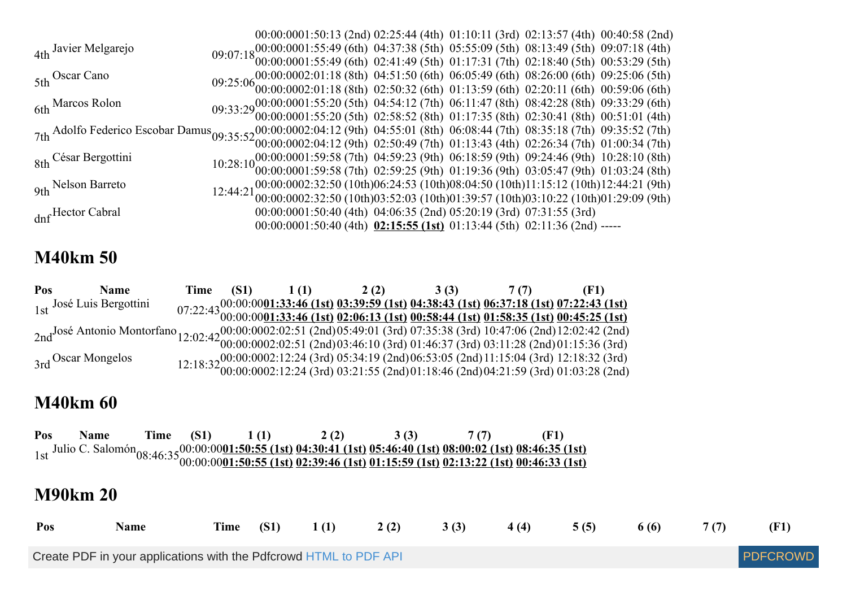|                                                                                                                                                                                                                               |  |  |                                                                                   |  |  | 00:00:0001:50:13 (2nd) 02:25:44 (4th) 01:10:11 (3rd) 02:13:57 (4th) 00:40:58 (2nd)                                                                                                                   |  |
|-------------------------------------------------------------------------------------------------------------------------------------------------------------------------------------------------------------------------------|--|--|-----------------------------------------------------------------------------------|--|--|------------------------------------------------------------------------------------------------------------------------------------------------------------------------------------------------------|--|
| 4th Javier Melgarejo                                                                                                                                                                                                          |  |  |                                                                                   |  |  |                                                                                                                                                                                                      |  |
|                                                                                                                                                                                                                               |  |  |                                                                                   |  |  | 09:07:18 00:00:0001:55:49 (6th) 04:37:38 (5th) 05:55:09 (5th) 08:13:49 (5th) 09:07:18 (4th) 09:07:18 (4th) 09:07:18 (6th) 02:41:49 (5th) 01:17:31 (7th) 02:18:40 (5th) 00:53:29 (5th)                |  |
| 5th Oscar Cano                                                                                                                                                                                                                |  |  |                                                                                   |  |  | $09:25:0600:0002:01:18 (8th) 04:51:50 (6th) 06:05:49 (6th) 08:26:00 (6th) 09:25:06 (5th) 09:25:06 (6th) 00:0002:01:18 (8th) 02:50:32 (6th) 01:13:59 (6th) 02:20:11 (6th) 00:59:06 (6th)$             |  |
|                                                                                                                                                                                                                               |  |  |                                                                                   |  |  |                                                                                                                                                                                                      |  |
| 6th Marcos Rolon                                                                                                                                                                                                              |  |  |                                                                                   |  |  |                                                                                                                                                                                                      |  |
|                                                                                                                                                                                                                               |  |  |                                                                                   |  |  | 09:33:29 00:00:0001:55:20 (5th) 04:54:12 (7th) 06:11:47 (8th) 08:42:28 (8th) 09:33:29 (6th) 09:33:29 (6th) 02:58:52 (8th) 01:17:35 (8th) 02:30:41 (8th) 00:51:01 (4th)                               |  |
| 7th Adolfo Federico Escobar Damus 09:35:52 00:00:0002:04:12 (9th) 04:55:01 (8th) 06:08:44 (7th) 08:35:18 (7th) 09:35:52 (7th) 7th Adolfo Federico Escobar Damus 09:35:52 00:00:0002:04:12 (9th) 04:55:01 (8th) 06:08:44 (7th) |  |  |                                                                                   |  |  |                                                                                                                                                                                                      |  |
|                                                                                                                                                                                                                               |  |  |                                                                                   |  |  |                                                                                                                                                                                                      |  |
| 8th César Bergottini                                                                                                                                                                                                          |  |  |                                                                                   |  |  |                                                                                                                                                                                                      |  |
|                                                                                                                                                                                                                               |  |  |                                                                                   |  |  | $10:28:10^{00:00:0001:59:58}$ (7th) $04:59:23$ (9th) $06:18:59$ (9th) $09:24:46$ (9th) $10:28:10$ (8th) $00:00:0001:59:58$ (7th) $02:59:25$ (9th) $01:19:36$ (9th) $03:05:47$ (9th) $01:03:24$ (8th) |  |
| 9th Nelson Barreto                                                                                                                                                                                                            |  |  |                                                                                   |  |  |                                                                                                                                                                                                      |  |
|                                                                                                                                                                                                                               |  |  |                                                                                   |  |  | 12:44:21 00:00:0002:32:50 (10th)06:24:53 (10th)08:04:50 (10th)11:15:12 (10th)12:44:21 (9th)<br>12:44:21 00:00:0002:32:50 (10th)03:52:03 (10th)01:39:57 (10th)03:10:22 (10th)01:29:09 (9th)           |  |
| dnf Hector Cabral                                                                                                                                                                                                             |  |  | 00:00:0001:50:40 (4th) 04:06:35 (2nd) 05:20:19 (3rd) 07:31:55 (3rd)               |  |  |                                                                                                                                                                                                      |  |
|                                                                                                                                                                                                                               |  |  | $00:00:0001:50:40$ (4th) $02:15:55$ (1st) $01:13:44$ (5th) $02:11:36$ (2nd) ----- |  |  |                                                                                                                                                                                                      |  |

### **M40km 50**

| Pos | <b>Name</b>                                                                                                                                                                                                                                           | Time | (S1) | 1(1) | 2(2)                                                                                                                                                                                                    | 3(3) | $\mathcal{U}(T)$ |  |
|-----|-------------------------------------------------------------------------------------------------------------------------------------------------------------------------------------------------------------------------------------------------------|------|------|------|---------------------------------------------------------------------------------------------------------------------------------------------------------------------------------------------------------|------|------------------|--|
|     | 1st José Luis Bergottini                                                                                                                                                                                                                              |      |      |      | 07:22:43 <sup>00:00:00</sup> 01:33:46 (1st) 03:39:59 (1st) 04:38:43 (1st) 06:37:18 (1st) 07:22:43 (1st)<br>07:22:43 00:00:00001:33:46 (1st) 02:06:13 (1st) 00:58:44 (1st) 01:58:35 (1st) 00:45:25 (1st) |      |                  |  |
|     |                                                                                                                                                                                                                                                       |      |      |      |                                                                                                                                                                                                         |      |                  |  |
|     | 2nd <sup>José</sup> Antonio Montorfano 12:02:42 00:00:0002:02:51 (2nd)05:49:01 (3rd) 07:35:38 (3rd) 10:47:06 (2nd)12:02:42 (2nd)<br>2nd <sup>José</sup> Antonio Montorfano 12:02:42 00:00:0002:02:51 (2nd)03:46:10 (3rd) 01:46:37 (3rd) 03:11:28 (2nd |      |      |      |                                                                                                                                                                                                         |      |                  |  |
|     |                                                                                                                                                                                                                                                       |      |      |      |                                                                                                                                                                                                         |      |                  |  |
|     | 3rd Oscar Mongelos                                                                                                                                                                                                                                    |      |      |      |                                                                                                                                                                                                         |      |                  |  |
|     |                                                                                                                                                                                                                                                       |      |      |      | 12:18:32 00:00:0002:12:24 (3rd) 05:34:19 (2nd)06:53:05 (2nd)11:15:04 (3rd) 12:18:32 (3rd)<br>12:18:32 00:00:0002:12:24 (3rd) 03:21:55 (2nd)01:18:46 (2nd)04:21:59 (3rd) 01:03:28 (2nd)                  |      |                  |  |

### **M40km 60**

| Pos | Name            | Time        | <b>(S1)</b> | 1(1)        | 2(2)                                                                                                                                                                                                                                                                | 3(3) | 7 <sub>(7)</sub> |      | (F1) |       |      |                 |
|-----|-----------------|-------------|-------------|-------------|---------------------------------------------------------------------------------------------------------------------------------------------------------------------------------------------------------------------------------------------------------------------|------|------------------|------|------|-------|------|-----------------|
|     |                 |             |             |             | 1st Julio C. Salomón <sub>08:46:35</sub> 00:00:00 <u>01:50:55 (1st) 04:30:41 (1st) 05:46:40 (1st) 08:00:02 (1st) 08:46:35 (1st)</u><br>1st Julio C. Salomón <sub>08:46</sub> :35 00:00:00 <u>01:50:55 (1st) 02:39:46 (1st) 01:15:59 (1st) 02:13:22 (1st) 00:46:</u> |      |                  |      |      |       |      |                 |
|     | <b>M90km 20</b> |             |             |             |                                                                                                                                                                                                                                                                     |      |                  |      |      |       |      |                 |
| Pos |                 | <b>Name</b> | Time        | <b>(S1)</b> | 1(1)                                                                                                                                                                                                                                                                | 2(2) | 3(3)             | 4(4) | 5(5) | 6 (6) | 7(7) | (F1)            |
|     |                 |             |             |             | Create PDF in your applications with the Pdfcrowd HTML to PDF API                                                                                                                                                                                                   |      |                  |      |      |       |      | <b>PDFCROWD</b> |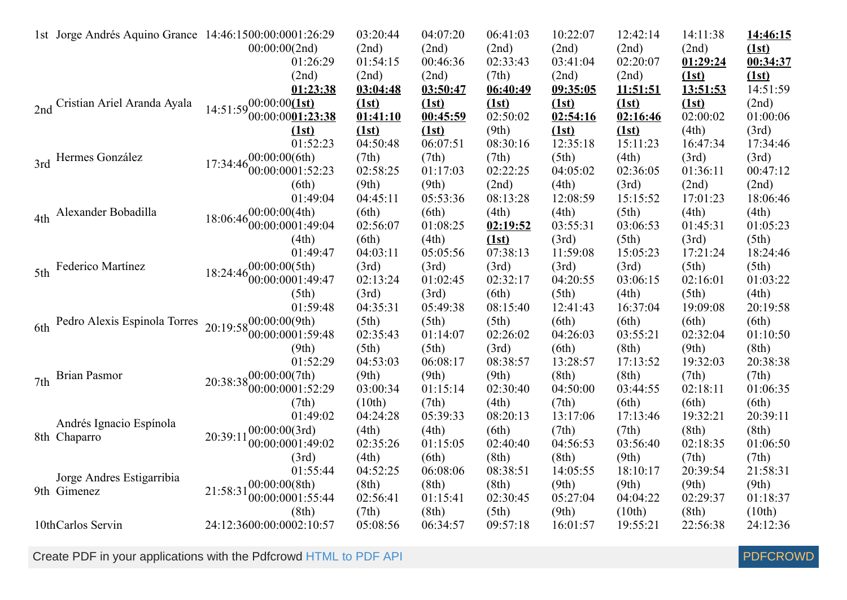|                 | 1st Jorge Andrés Aquino Grance 14:46:1500:00:0001:26:29 |                                                                          | 03:20:44          | 04:07:20          | 06:41:03          | 10:22:07          | 12:42:14          | 14:11:38          | 14:46:15          |
|-----------------|---------------------------------------------------------|--------------------------------------------------------------------------|-------------------|-------------------|-------------------|-------------------|-------------------|-------------------|-------------------|
|                 |                                                         | 00:00:00(2nd)                                                            | (2nd)             | (2nd)             | (2nd)             | (2nd)             | (2nd)             | (2nd)             | (1st)             |
|                 |                                                         | 01:26:29                                                                 | 01:54:15          | 00:46:36          | 02:33:43          | 03:41:04          | 02:20:07          | 01:29:24          | 00:34:37          |
|                 |                                                         | (2nd)                                                                    | (2nd)             | (2nd)             | (7th)             | (2nd)             | (2nd)             | (1st)             | (1st)             |
|                 |                                                         | 01:23:38                                                                 | 03:04:48          | 03:50:47          | 06:40:49          | 09:35:05          | <u>11:51:51</u>   | 13:51:53          | 14:51:59          |
|                 | 2nd Cristian Ariel Aranda Ayala                         | 14:51:59 $^{00:00:00}$ $\overline{1st}$                                  | (1st)             | (1st)             | (1st)             | (1st)             | (1st)             | (1st)             | (2nd)             |
|                 |                                                         | 00:00:0001:23:38                                                         | 01:41:10          | 00:45:59          | 02:50:02          | 02:54:16          | 02:16:46          | 02:00:02          | 01:00:06          |
|                 |                                                         | (1st)                                                                    | (1st)             | (1st)             | (9th)             | (1st)             | (1st)             | (4th)             | (3rd)             |
|                 |                                                         | 01:52:23                                                                 | 04:50:48          | 06:07:51          | 08:30:16          | 12:35:18          | 15:11:23          | 16:47:34          | 17:34:46          |
|                 | 3rd Hermes González                                     | 17:34:46 $^{00:00:00(6th)}_{00:00:0001:52:23}$                           | (7th)             | (7th)             | (7th)             | (5th)             | (4th)             | (3rd)             | (3rd)             |
|                 |                                                         |                                                                          | 02:58:25          | 01:17:03          | 02:22:25          | 04:05:02          | 02:36:05          | 01:36:11          | 00:47:12          |
|                 |                                                         | (6th)                                                                    | (9th)             | (9th)             | (2nd)             | (4th)             | (3rd)             | (2nd)             | (2nd)             |
|                 |                                                         | 01:49:04                                                                 | 04:45:11          | 05:53:36          | 08:13:28          | 12:08:59          | 15:15:52          | 17:01:23          | 18:06:46          |
| 4th             | Alexander Bobadilla                                     | $18:06:46_{00}^{00}:00:00(4th)$                                          | (6th)             | (6th)             | (4th)             | (4th)             | (5th)             | (4th)             | (4th)             |
|                 |                                                         | 00:00:0001:49:04                                                         | 02:56:07          | 01:08:25          | 02:19:52          | 03:55:31          | 03:06:53          | 01:45:31          | 01:05:23          |
|                 |                                                         | (4th)                                                                    | (6th)             | (4th)             | (1st)             | (3rd)             | (5th)             | (3rd)             | (5th)             |
|                 |                                                         | 01:49:47                                                                 | 04:03:11          | 05:05:56          | 07:38:13          | 11:59:08          | 15:05:23          | 17:21:24          | 18:24:46          |
| 5th             | Federico Martínez                                       | $18:24:46\begin{array}{l} 00:00:00(5th) \\ 00:00:0001:49:47 \end{array}$ | (3rd)             | (3rd)             | (3rd)             | (3rd)             | (3rd)             | (5th)             | (5th)             |
|                 |                                                         |                                                                          | 02:13:24          | 01:02:45          | 02:32:17          | 04:20:55          | 03:06:15          | 02:16:01          | 01:03:22          |
|                 |                                                         | (5th)                                                                    | (3rd)             | (3rd)             | (6th)             | (5th)             | (4th)             | (5th)             | (4th)             |
|                 |                                                         | 01:59:48                                                                 | 04:35:31          | 05:49:38          | 08:15:40          | 12:41:43          | 16:37:04          | 19:09:08          | 20:19:58          |
|                 | 6th Pedro Alexis Espinola Torres                        | $20:19:58^{00:00:00(9th)}$<br>00:00:0001:59:48                           | (5th)<br>02:35:43 | (5th)<br>01:14:07 | (5th)<br>02:26:02 | (6th)<br>04:26:03 | (6th)             | (6th)<br>02:32:04 | (6th)             |
|                 |                                                         |                                                                          |                   |                   |                   |                   | 03:55:21          |                   | 01:10:50          |
|                 |                                                         | (9th)<br>01:52:29                                                        | (5th)<br>04:53:03 | (5th)<br>06:08:17 | (3rd)             | (6th)             | (8th)             | (9th)             | (8th)<br>20:38:38 |
|                 | <b>Brian Pasmor</b>                                     |                                                                          | (9th)             | (9th)             | 08:38:57          | 13:28:57          | 17:13:52<br>(8th) | 19:32:03          | (7th)             |
| 7 <sub>th</sub> |                                                         | $20:38:38^{00:00:00(7th)}$<br>00:00:0001:52:29                           | 03:00:34          | 01:15:14          | (9th)<br>02:30:40 | (8th)<br>04:50:00 | 03:44:55          | (7th)<br>02:18:11 | 01:06:35          |
|                 |                                                         | (7th)                                                                    | (10th)            | (7th)             | (4th)             | (7th)             | (6th)             | (6th)             | (6th)             |
|                 |                                                         | 01:49:02                                                                 | 04:24:28          | 05:39:33          | 08:20:13          | 13:17:06          | 17:13:46          | 19:32:21          | 20:39:11          |
|                 | Andrés Ignacio Espínola                                 | 00:00:00(3rd)                                                            | (4th)             | (4th)             | (6th)             | (7th)             | (7th)             | (8th)             | (8th)             |
|                 | 8th Chaparro                                            | 20:39:11<br>00:00:0001:49:02                                             | 02:35:26          | 01:15:05          | 02:40:40          | 04:56:53          | 03:56:40          | 02:18:35          | 01:06:50          |
|                 |                                                         | (3rd)                                                                    | (4th)             | (6th)             | (8th)             | (8th)             | (9th)             | (7th)             | (7th)             |
|                 |                                                         | 01:55:44                                                                 | 04:52:25          | 06:08:06          | 08:38:51          | 14:05:55          | 18:10:17          | 20:39:54          | 21:58:31          |
|                 | Jorge Andres Estigarribia                               | 00:00:00(8th)                                                            | (8th)             | (8th)             | (8th)             | (9th)             | (9th)             | (9th)             | (9th)             |
|                 | 9th Gimenez                                             | 21:58:31<br>00:00:0001:55:44                                             | 02:56:41          | 01:15:41          | 02:30:45          | 05:27:04          | 04:04:22          | 02:29:37          | 01:18:37          |
|                 |                                                         | (8th)                                                                    | (7th)             | (8th)             | (5th)             | (9th)             | (10th)            | (8th)             | (10th)            |
|                 | 10thCarlos Servin                                       | 24:12:3600:00:0002:10:57                                                 | 05:08:56          | 06:34:57          | 09:57:18          | 16:01:57          | 19:55:21          | 22:56:38          | 24:12:36          |
|                 |                                                         |                                                                          |                   |                   |                   |                   |                   |                   |                   |

Create PDF in your applications with the Pdfcrowd [HTML to PDF API](https://pdfcrowd.com/doc/api/?ref=pdf) [PDFCROWD](https://pdfcrowd.com/?ref=pdf) Create PDF API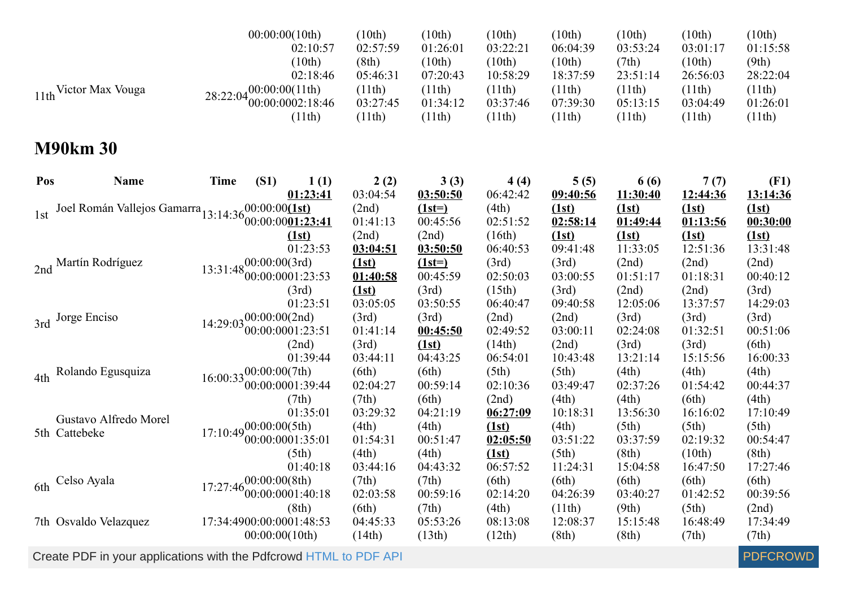|     | 11th Victor Max Vouga                             | 28:22:04                               | 00:00:00(10th)<br>00:00:00(11th)    | 02:10:57<br>(10th)<br>02:18:46<br>00:00:0002:18:46<br>(11th) | (10th)<br>02:57:59<br>(8th)<br>05:46:31<br>(11th)<br>03:27:45<br>(11th) | (10th)<br>01:26:01<br>(10th)<br>07:20:43<br>(11th)<br>01:34:12<br>(11th) | (10th)<br>03:22:21<br>(10th)<br>10:58:29<br>(11th)<br>03:37:46<br>(11th) | (10th)<br>06:04:39<br>(10th)<br>18:37:59<br>(11th)<br>07:39:30<br>(11th) | (10th)<br>03:53:24<br>(7th)<br>23:51:14<br>(11th)<br>05:13:15<br>(11th) | (10th)<br>03:01:17<br>(10th)<br>26:56:03<br>(11th)<br>03:04:49<br>(11th) | (10th)<br>01:15:58<br>(9th)<br>28:22:04<br>(11th)<br>01:26:01<br>(11th) |
|-----|---------------------------------------------------|----------------------------------------|-------------------------------------|--------------------------------------------------------------|-------------------------------------------------------------------------|--------------------------------------------------------------------------|--------------------------------------------------------------------------|--------------------------------------------------------------------------|-------------------------------------------------------------------------|--------------------------------------------------------------------------|-------------------------------------------------------------------------|
|     | <b>M90km 30</b>                                   |                                        |                                     |                                                              |                                                                         |                                                                          |                                                                          |                                                                          |                                                                         |                                                                          |                                                                         |
| Pos | <b>Name</b>                                       | <b>Time</b>                            | (S1)                                | 1(1)<br>01:23:41                                             | 2(2)<br>03:04:54                                                        | 3(3)<br>03:50:50                                                         | 4(4)<br>06:42:42                                                         | 5(5)<br>09:40:56                                                         | 6 (6)<br>11:30:40                                                       | 7(7)<br>12:44:36                                                         | (F1)<br>13:14:36                                                        |
| 1st | Joel Román Vallejos Gamarra 13:14:3600:00:00(1st) |                                        | 00:00:0001:23:41                    | (1st)                                                        | (2nd)<br>01:41:13<br>(2nd)                                              | $(1st=)$<br>00:45:56<br>(2nd)                                            | (4th)<br>02:51:52<br>(16th)                                              | (1st)<br>02:58:14<br>(1st)                                               | (1st)<br>01:49:44<br>(1st)                                              | (1st)<br>01:13:56<br>(1st)                                               | (1st)<br>00:30:00<br>(1st)                                              |
|     | 2nd Martín Rodríguez                              | $13:31:48^{00:00:00(3rd)}_{00.000(3r)$ | 00:00:0001:23:53                    | 01:23:53<br>(3rd)                                            | 03:04:51<br>(1st)<br>01:40:58<br>(1st)                                  | 03:50:50<br>$(1st=)$<br>00:45:59<br>(3rd)                                | 06:40:53<br>(3rd)<br>02:50:03<br>(15th)                                  | 09:41:48<br>(3rd)<br>03:00:55<br>(3rd)                                   | 11:33:05<br>(2nd)<br>01:51:17<br>(2nd)                                  | 12:51:36<br>(2nd)<br>01:18:31<br>(2nd)                                   | 13:31:48<br>(2nd)<br>00:40:12<br>(3rd)                                  |
| 3rd | Jorge Enciso                                      | $14:29:03\frac{00:00:00(2nd)}{2}$      | 00:00:0001:23:51                    | 01:23:51<br>(2nd)                                            | 03:05:05<br>(3rd)<br>01:41:14<br>(3rd)                                  | 03:50:55<br>(3rd)<br>00:45:50<br>(1st)                                   | 06:40:47<br>(2nd)<br>02:49:52<br>(14th)                                  | 09:40:58<br>(2nd)<br>03:00:11<br>(2nd)                                   | 12:05:06<br>(3rd)<br>02:24:08<br>(3rd)                                  | 13:37:57<br>(3rd)<br>01:32:51<br>(3rd)                                   | 14:29:03<br>(3rd)<br>00:51:06<br>(6th)                                  |
| 4th | Rolando Egusquiza                                 | $16:00:33\frac{00:00:00(7th)}{2}$      | 00:00:0001:39:44                    | 01:39:44<br>(7th)                                            | 03:44:11<br>(6th)<br>02:04:27<br>(7th)                                  | 04:43:25<br>(6th)<br>00:59:14<br>(6th)                                   | 06:54:01<br>(5th)<br>02:10:36<br>(2nd)                                   | 10:43:48<br>(5th)<br>03:49:47<br>(4th)                                   | 13:21:14<br>(4th)<br>02:37:26<br>(4th)                                  | 15:15:56<br>(4th)<br>01:54:42<br>(6th)                                   | 16:00:33<br>(4th)<br>00:44:37<br>(4th)                                  |
|     | Gustavo Alfredo Morel<br>5th Cattebeke            | $17:10:49_{00}^{00:00:00(5th)}$        | 00:00:0001:35:01                    | 01:35:01<br>(5th)<br>01:40:18                                | 03:29:32<br>(4th)<br>01:54:31<br>(4th)<br>03:44:16                      | 04:21:19<br>(4th)<br>00:51:47<br>(4th)<br>04:43:32                       | 06:27:09<br>(1st)<br>02:05:50<br>(1st)<br>06:57:52                       | 10:18:31<br>(4th)<br>03:51:22<br>(5th)<br>11:24:31                       | 13:56:30<br>(5th)<br>03:37:59<br>(8th)<br>15:04:58                      | 16:16:02<br>(5th)<br>02:19:32<br>(10th)<br>16:47:50                      | 17:10:49<br>(5th)<br>00:54:47<br>(8th)<br>17:27:46                      |
| 6th | Celso Ayala                                       | 17:27:46                               | 0.00(0.00(8th))<br>00:00:0001:40:18 | (8th)                                                        | (7th)<br>02:03:58<br>(6th)                                              | (7th)<br>00:59:16<br>(7th)                                               | (6th)<br>02:14:20<br>(4th)                                               | (6th)<br>04:26:39<br>(11th)                                              | (6th)<br>03:40:27<br>(9th)                                              | (6th)<br>01:42:52<br>(5th)                                               | (6th)<br>00:39:56<br>(2nd)                                              |
|     | 7th Osvaldo Velazquez                             | 17:34:4900:00:0001:48:53               | 00:00:00(10th)                      |                                                              | 04:45:33<br>(14th)                                                      | 05:53:26<br>(13th)                                                       | 08:13:08<br>(12th)                                                       | 12:08:37<br>(8th)                                                        | 15:15:48<br>(8th)                                                       | 16:48:49<br>(7th)                                                        | 17:34:49<br>(7th)                                                       |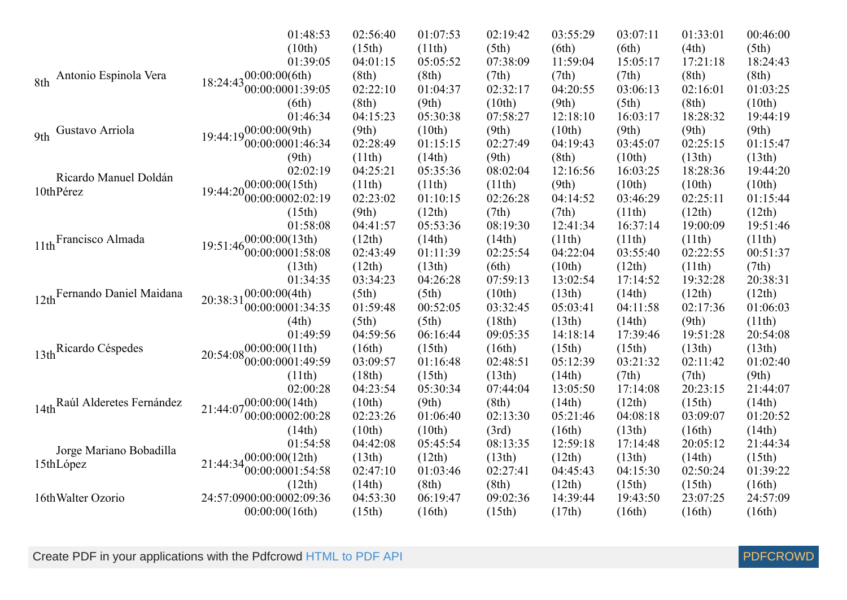|                                    | 01:48:53                                         | 02:56:40 | 01:07:53 | 02:19:42 | 03:55:29 | 03:07:11 | 01:33:01 | 00:46:00 |
|------------------------------------|--------------------------------------------------|----------|----------|----------|----------|----------|----------|----------|
|                                    | (10th)                                           | (15th)   | (11th)   | (5th)    | (6th)    | (6th)    | (4th)    | (5th)    |
|                                    | 01:39:05                                         | 04:01:15 | 05:05:52 | 07:38:09 | 11:59:04 | 15:05:17 | 17:21:18 | 18:24:43 |
| Antonio Espinola Vera<br>8th       | $18:24:43^{00:00:00(6th)}$                       | (8th)    | (8th)    | (7th)    | (7th)    | (7th)    | (8th)    | (8th)    |
|                                    | 00:00:0001:39:05                                 | 02:22:10 | 01:04:37 | 02:32:17 | 04:20:55 | 03:06:13 | 02:16:01 | 01:03:25 |
|                                    | (6th)                                            | (8th)    | (9th)    | (10th)   | (9th)    | (5th)    | (8th)    | (10th)   |
|                                    | 01:46:34                                         | 04:15:23 | 05:30:38 | 07:58:27 | 12:18:10 | 16:03:17 | 18:28:32 | 19:44:19 |
| Gustavo Arriola<br>9 <sub>th</sub> | $19:44:19^{00:00:00(9th)}$                       | (9th)    | (10th)   | (9th)    | (10th)   | (9th)    | (9th)    | (9th)    |
|                                    | 00:00:0001:46:34                                 | 02:28:49 | 01:15:15 | 02:27:49 | 04:19:43 | 03:45:07 | 02:25:15 | 01:15:47 |
|                                    | (9th)                                            | (11th)   | (14th)   | (9th)    | (8th)    | (10th)   | (13th)   | (13th)   |
|                                    | 02:02:19                                         | 04:25:21 | 05:35:36 | 08:02:04 | 12:16:56 | 16:03:25 | 18:28:36 | 19:44:20 |
| Ricardo Manuel Doldán              | $19:44:20_{00}^{00:00:00(15th)}$                 | (11th)   | (11th)   | (11th)   | (9th)    | (10th)   | (10th)   | (10th)   |
| 10thPérez                          | 00:00:0002:02:19                                 | 02:23:02 | 01:10:15 | 02:26:28 | 04:14:52 | 03:46:29 | 02:25:11 | 01:15:44 |
|                                    | (15th)                                           | (9th)    | (12th)   | (7th)    | (7th)    | (11th)   | (12th)   | (12th)   |
|                                    | 01:58:08                                         | 04:41:57 | 05:53:36 | 08:19:30 | 12:41:34 | 16:37:14 | 19:00:09 | 19:51:46 |
| 11th Francisco Almada              | $-00:00:00(13th)$                                | (12th)   | (14th)   | (14th)   | (11th)   | (11th)   | (11th)   | (11th)   |
|                                    | 19:51:46<br>00:00:0001:58:08                     | 02:43:49 | 01:11:39 | 02:25:54 | 04:22:04 | 03:55:40 | 02:22:55 | 00:51:37 |
|                                    | (13th)                                           | (12th)   | (13th)   | (6th)    | (10th)   | (12th)   | (11th)   | (7th)    |
|                                    | 01:34:35                                         | 03:34:23 | 04:26:28 | 07:59:13 | 13:02:54 | 17:14:52 | 19:32:28 | 20:38:31 |
| 12th Fernando Daniel Maidana       | 00:00:00(4th)<br>20:38:31                        | (5th)    | (5th)    | (10th)   | (13th)   | (14th)   | (12th)   | (12th)   |
|                                    | 00:00:0001:34:35                                 | 01:59:48 | 00:52:05 | 03:32:45 | 05:03:41 | 04:11:58 | 02:17:36 | 01:06:03 |
|                                    | (4th)                                            | (5th)    | (5th)    | (18th)   | (13th)   | (14th)   | (9th)    | (11th)   |
|                                    | 01:49:59                                         | 04:59:56 | 06:16:44 | 09:05:35 | 14:18:14 | 17:39:46 | 19:51:28 | 20:54:08 |
| 13th Ricardo Céspedes              | $20:54:08\substack{00:00:00(11\text{th})}$       | (16th)   | (15th)   | (16th)   | (15th)   | (15th)   | (13th)   | (13th)   |
|                                    | 00:00:0001:49:59                                 | 03:09:57 | 01:16:48 | 02:48:51 | 05:12:39 | 03:21:32 | 02:11:42 | 01:02:40 |
|                                    | (11th)                                           | (18th)   | (15th)   | (13th)   | (14th)   | (7th)    | (7th)    | (9th)    |
|                                    | 02:00:28                                         | 04:23:54 | 05:30:34 | 07:44:04 | 13:05:50 | 17:14:08 | 20:23:15 | 21:44:07 |
| 14th Raúl Alderetes Fernández      | $21:44:07\substack{00.00:00(14th)}{00:00(14th)}$ | (10th)   | (9th)    | (8th)    | (14th)   | (12th)   | (15th)   | (14th)   |
|                                    | 00:00:0002:00:28                                 | 02:23:26 | 01:06:40 | 02:13:30 | 05:21:46 | 04:08:18 | 03:09:07 | 01:20:52 |
|                                    | (14th)                                           | (10th)   | (10th)   | (3rd)    | (16th)   | (13th)   | (16th)   | (14th)   |
|                                    | 01:54:58                                         | 04:42:08 | 05:45:54 | 08:13:35 | 12:59:18 | 17:14:48 | 20:05:12 | 21:44:34 |
| Jorge Mariano Bobadilla            | $21:44:34\frac{00:00:00(12th)}{21:44:34}$        | (13th)   | (12th)   | (13th)   | (12th)   | (13th)   | (14th)   | (15th)   |
| 15thLópez                          | [00:00:0001:54:58]                               | 02:47:10 | 01:03:46 | 02:27:41 | 04:45:43 | 04:15:30 | 02:50:24 | 01:39:22 |
|                                    | (12th)                                           | (14th)   | (8th)    | (8th)    | (12th)   | (15th)   | (15th)   | (16th)   |
| 16th Walter Ozorio                 | 24:57:0900:00:0002:09:36                         | 04:53:30 | 06:19:47 | 09:02:36 | 14:39:44 | 19:43:50 | 23:07:25 | 24:57:09 |
|                                    | 00:00:00(16th)                                   | (15th)   | (16th)   | (15th)   | (17th)   | (16th)   | (16th)   | (16th)   |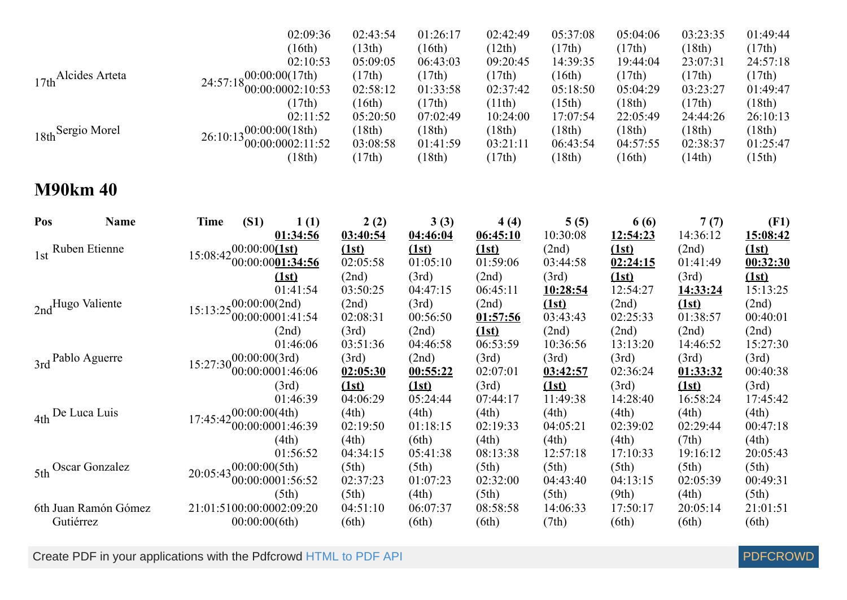|                     | 02:09:36                                                              | 02:43:54 | 01:26:17 | 02:42:49 | 05:37:08 | 05:04:06 | 03:23:35 | 01:49:44 |
|---------------------|-----------------------------------------------------------------------|----------|----------|----------|----------|----------|----------|----------|
|                     | (16th)                                                                | (13th)   | 16th     | (12th)   | (17th)   | (17th)   | (18th)   | (17th)   |
|                     | 02:10:53                                                              | 05:09:05 | 06:43:03 | 09:20:45 | 14:39:35 | 19:44:04 | 23:07:31 | 24:57:18 |
| 17th Alcides Arteta | $24:57:18\substack{00:00:00(17th)\\00:00:0002:10:53}$                 | (17th)   | (17th)   | (17th)   | 16th     | (17th)   | (17th)   | (17th)   |
|                     |                                                                       | 02:58:12 | 01:33:58 | 02:37:42 | 05:18:50 | 05:04:29 | 03:23:27 | 01:49:47 |
|                     | (17th)                                                                | (16th)   | (17th)   | (11th)   | (15th)   | (18th)   | (17th)   | (18th)   |
|                     | 02:11:52                                                              | 05:20:50 | 07:02:49 | 10:24:00 | 17:07:54 | 22:05:49 | 24:44:26 | 26:10:13 |
| 18th Sergio Morel   | $26:10:13\begin{array}{l}00:00:00(18th)\\00:00:0002:11:52\end{array}$ | (18th)   | (18th)   | (18th)   | (18th)   | (18th)   | (18th)   | (18th)   |
|                     |                                                                       | 03:08:58 | 01:41:59 | 03:21:11 | 06:43:54 | 04:57:55 | 02:38:37 | 01:25:47 |
|                     | (18th)                                                                | (17th)   | (18th)   | (17th)   | (18th)   | (16th)   | (14th)   | (15th)   |

### **M90km 40**

| Pos<br><b>Name</b>   | <b>Time</b>                        | (S1)          | 1(1)                     | 2(2)     | 3(3)     | 4(4)     | 5(5)     | 6 (6)    | 7(7)     | (F1)     |
|----------------------|------------------------------------|---------------|--------------------------|----------|----------|----------|----------|----------|----------|----------|
|                      |                                    |               | 01:34:56                 | 03:40:54 | 04:46:04 | 06:45:10 | 10:30:08 | 12:54:23 | 14:36:12 | 15:08:42 |
| 1st Ruben Etienne    | $15:08:42\frac{00:00:00}{1}$       |               |                          | (1st)    | (1st)    | (1st)    | (2nd)    | (1st)    | (2nd)    | (1st)    |
|                      |                                    |               | 00:00:0001:34:56         | 02:05:58 | 01:05:10 | 01:59:06 | 03:44:58 | 02:24:15 | 01:41:49 | 00:32:30 |
|                      |                                    |               | (1st)                    | (2nd)    | (3rd)    | (2nd)    | (3rd)    | (1st)    | (3rd)    | (1st)    |
|                      |                                    |               | 01:41:54                 | 03:50:25 | 04:47:15 | 06:45:11 | 10:28:54 | 12:54:27 | 14:33:24 | 15:13:25 |
| 2ndHugo Valiente     | $15:13:25^{00:00:00(2nd)}$         |               |                          | (2nd)    | (3rd)    | (2nd)    | (1st)    | (2nd)    | (1st)    | (2nd)    |
|                      |                                    |               | 00:00:0001:41:54         | 02:08:31 | 00:56:50 | 01:57:56 | 03:43:43 | 02:25:33 | 01:38:57 | 00:40:01 |
|                      |                                    |               | (2nd)                    | (3rd)    | (2nd)    | (1st)    | (2nd)    | (2nd)    | (2nd)    | (2nd)    |
|                      |                                    |               | 01:46:06                 | 03:51:36 | 04:46:58 | 06:53:59 | 10:36:56 | 13:13:20 | 14:46:52 | 15:27:30 |
| 3rd Pablo Aguerre    | $15:27:30_{00}^{00:00:00(3rd)}$    |               |                          | (3rd)    | (2nd)    | (3rd)    | (3rd)    | (3rd)    | (3rd)    | (3rd)    |
|                      |                                    |               | 00:00:0001:46:06         | 02:05:30 | 00:55:22 | 02:07:01 | 03:42:57 | 02:36:24 | 01:33:32 | 00:40:38 |
|                      |                                    |               | (3rd)                    | (1st)    | (1st)    | (3rd)    | (1st)    | (3rd)    | (1st)    | (3rd)    |
|                      |                                    |               | 01:46:39                 | 04:06:29 | 05:24:44 | 07:44:17 | 11:49:38 | 14:28:40 | 16:58:24 | 17:45:42 |
| 4th De Luca Luis     | $17:45:42^{00:00:00(4th)}$         |               |                          | (4th)    | (4th)    | (4th)    | (4th)    | (4th)    | (4th)    | (4th)    |
|                      |                                    |               | 00:00:0001:46:39         | 02:19:50 | 01:18:15 | 02:19:33 | 04:05:21 | 02:39:02 | 02:29:44 | 00:47:18 |
|                      |                                    |               | (4th)                    | (4th)    | (6th)    | (4th)    | (4th)    | (4th)    | (7th)    | (4th)    |
|                      |                                    |               | 01:56:52                 | 04:34:15 | 05:41:38 | 08:13:38 | 12:57:18 | 17:10:33 | 19:16:12 | 20:05:43 |
| 5th Oscar Gonzalez   | $20:05:43\frac{00:00:00(5th)}{20}$ |               |                          | (5th)    | (5th)    | (5th)    | (5th)    | (5th)    | (5th)    | (5th)    |
|                      |                                    |               | 00:00:0001:56:52         | 02:37:23 | 01:07:23 | 02:32:00 | 04:43:40 | 04:13:15 | 02:05:39 | 00:49:31 |
|                      |                                    |               | (5th)                    | (5th)    | (4th)    | (5th)    | (5th)    | (9th)    | (4th)    | (5th)    |
| 6th Juan Ramón Gómez |                                    |               | 21:01:5100:00:0002:09:20 | 04:51:10 | 06:07:37 | 08:58:58 | 14:06:33 | 17:50:17 | 20:05:14 | 21:01:51 |
| Gutiérrez            |                                    | 00:00:00(6th) |                          | (6th)    | (6th)    | (6th)    | (7th)    | (6th)    | (6th)    | (6th)    |